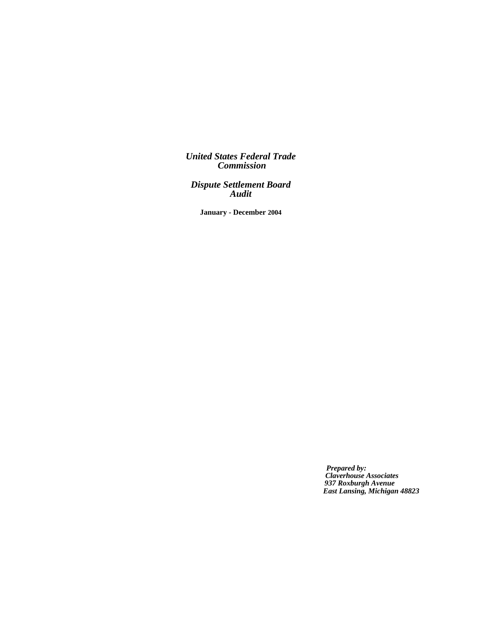*United States Federal Trade Commission*

*Dispute Settlement Board Audit*

**January - December 2004**

*Prepared by: Claverhouse Associates 937 Roxburgh Avenue East Lansing, Michigan 48823*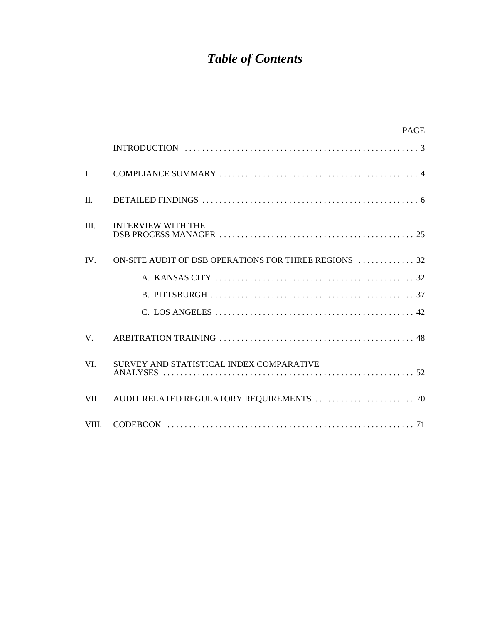# *Table of Contents*

|              | <b>PAGE</b>                                                                                                   |
|--------------|---------------------------------------------------------------------------------------------------------------|
|              |                                                                                                               |
| $\mathbf{I}$ |                                                                                                               |
| $\Pi$ .      |                                                                                                               |
| III.         | <b>INTERVIEW WITH THE</b>                                                                                     |
| IV.          | ON-SITE AUDIT OF DSB OPERATIONS FOR THREE REGIONS  32                                                         |
|              |                                                                                                               |
|              |                                                                                                               |
|              |                                                                                                               |
| $V_{\cdot}$  |                                                                                                               |
| VI.          | SURVEY AND STATISTICAL INDEX COMPARATIVE                                                                      |
| VII.         | AUDIT RELATED REGULATORY REQUIREMENTS $\ldots\ldots\ldots\ldots\ldots\ldots\ldots\ldots\ldots\ldots\ldots$ 70 |
| VIII.        |                                                                                                               |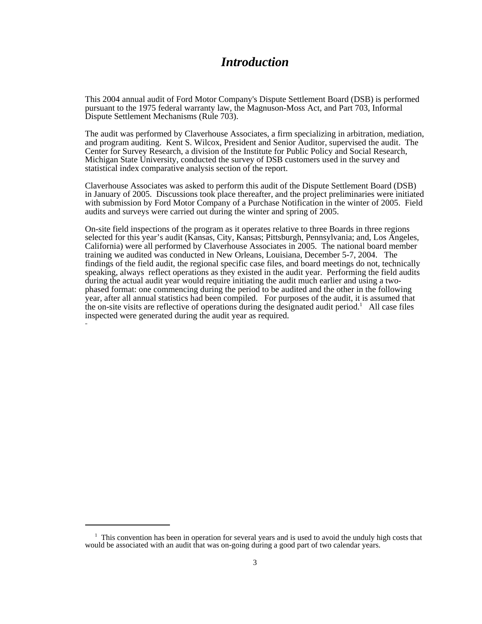# *Introduction*

This 2004 annual audit of Ford Motor Company's Dispute Settlement Board (DSB) is performed pursuant to the 1975 federal warranty law, the Magnuson-Moss Act, and Part 703, Informal Dispute Settlement Mechanisms (Rule 703).

The audit was performed by Claverhouse Associates, a firm specializing in arbitration, mediation, and program auditing. Kent S. Wilcox, President and Senior Auditor, supervised the audit. The Center for Survey Research, a division of the Institute for Public Policy and Social Research, Michigan State University, conducted the survey of DSB customers used in the survey and statistical index comparative analysis section of the report.

Claverhouse Associates was asked to perform this audit of the Dispute Settlement Board (DSB) in January of 2005. Discussions took place thereafter, and the project preliminaries were initiated with submission by Ford Motor Company of a Purchase Notification in the winter of 2005. Field audits and surveys were carried out during the winter and spring of 2005.

On-site field inspections of the program as it operates relative to three Boards in three regions selected for this year's audit (Kansas, City, Kansas; Pittsburgh, Pennsylvania; and, Los Angeles, California) were all performed by Claverhouse Associates in 2005. The national board member training we audited was conducted in New Orleans, Louisiana, December 5-7, 2004. The findings of the field audit, the regional specific case files, and board meetings do not, technically speaking, always reflect operations as they existed in the audit year. Performing the field audits during the actual audit year would require initiating the audit much earlier and using a twophased format: one commencing during the period to be audited and the other in the following year, after all annual statistics had been compiled. For purposes of the audit, it is assumed that the on-site visits are reflective of operations during the designated audit period.<sup>1</sup> All case files inspected were generated during the audit year as required.

<sup>&</sup>lt;sup>1</sup> This convention has been in operation for several years and is used to avoid the unduly high costs that would be associated with an audit that was on-going during a good part of two calendar years.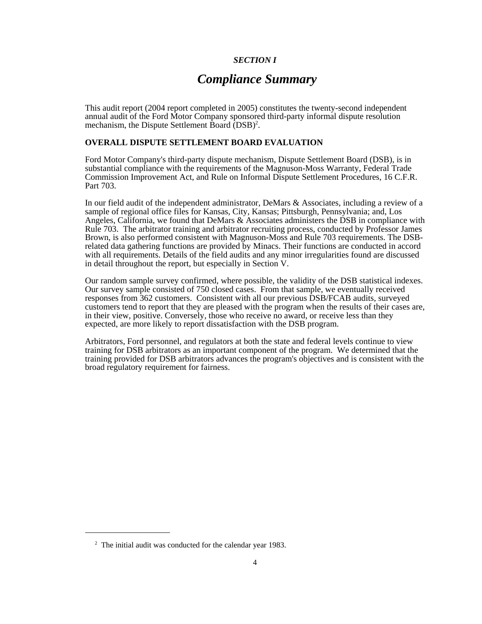# *SECTION I*

# *Compliance Summary*

This audit report (2004 report completed in 2005) constitutes the twenty-second independent annual audit of the Ford Motor Company sponsored third-party informal dispute resolution mechanism, the Dispute Settlement Board  $(DSB)^2$ .

# **OVERALL DISPUTE SETTLEMENT BOARD EVALUATION**

Ford Motor Company's third-party dispute mechanism, Dispute Settlement Board (DSB), is in substantial compliance with the requirements of the Magnuson-Moss Warranty, Federal Trade Commission Improvement Act, and Rule on Informal Dispute Settlement Procedures, 16 C.F.R. Part 703.

In our field audit of the independent administrator, DeMars & Associates, including a review of a sample of regional office files for Kansas, City, Kansas; Pittsburgh, Pennsylvania; and, Los Angeles, California, we found that DeMars  $\&$  Associates administers the DSB in compliance with Rule 703. The arbitrator training and arbitrator recruiting process, conducted by Professor James Brown, is also performed consistent with Magnuson-Moss and Rule 703 requirements. The DSBrelated data gathering functions are provided by Minacs. Their functions are conducted in accord with all requirements. Details of the field audits and any minor irregularities found are discussed in detail throughout the report, but especially in Section V.

Our random sample survey confirmed, where possible, the validity of the DSB statistical indexes. Our survey sample consisted of 750 closed cases. From that sample, we eventually received responses from 362 customers. Consistent with all our previous DSB/FCAB audits, surveyed customers tend to report that they are pleased with the program when the results of their cases are, in their view, positive. Conversely, those who receive no award, or receive less than they expected, are more likely to report dissatisfaction with the DSB program.

Arbitrators, Ford personnel, and regulators at both the state and federal levels continue to view training for DSB arbitrators as an important component of the program. We determined that the training provided for DSB arbitrators advances the program's objectives and is consistent with the broad regulatory requirement for fairness.

<sup>&</sup>lt;sup>2</sup> The initial audit was conducted for the calendar year 1983.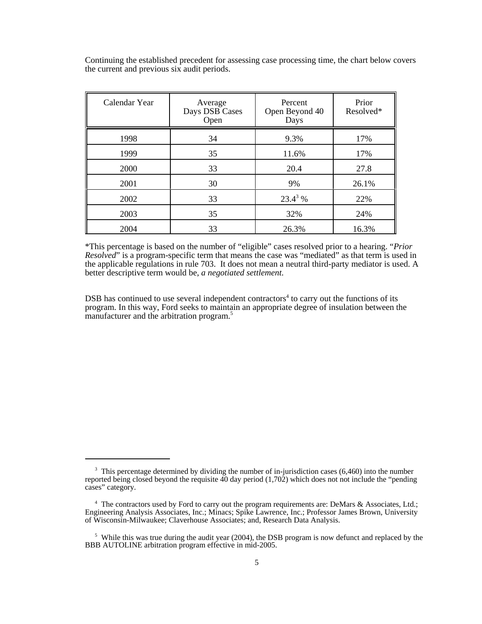Continuing the established precedent for assessing case processing time, the chart below covers the current and previous six audit periods.

| Calendar Year | Average<br>Days DSB Cases<br>Open | Percent<br>Open Beyond 40<br>Days | Prior<br>Resolved* |
|---------------|-----------------------------------|-----------------------------------|--------------------|
| 1998          | 34                                | 9.3%                              | 17%                |
| 1999          | 35                                | 11.6%                             | 17%                |
| 2000          | 33                                | 20.4                              | 27.8               |
| 2001          | 30                                | 9%                                | 26.1%              |
| 2002          | 33                                | $23.4^3%$                         | 22%                |
| 2003          | 35                                | 32%                               | 24%                |
| 2004          | 33                                | 26.3%                             | 16.3%              |

\*This percentage is based on the number of "eligible" cases resolved prior to a hearing. "*Prior Resolved*" is a program-specific term that means the case was "mediated" as that term is used in the applicable regulations in rule 703. It does not mean a neutral third-party mediator is used. A better descriptive term would be, *a negotiated settlement*.

DSB has continued to use several independent contractors<sup>4</sup> to carry out the functions of its program. In this way, Ford seeks to maintain an appropriate degree of insulation between the manufacturer and the arbitration program.<sup>5</sup>

<sup>&</sup>lt;sup>3</sup> This percentage determined by dividing the number of in-jurisdiction cases (6,460) into the number reported being closed beyond the requisite 40 day period (1,702) which does not not include the "pending cases" category.

<sup>&</sup>lt;sup>4</sup> The contractors used by Ford to carry out the program requirements are: DeMars & Associates, Ltd.; Engineering Analysis Associates, Inc.; Minacs; Spike Lawrence, Inc.; Professor James Brown, University of Wisconsin-Milwaukee; Claverhouse Associates; and, Research Data Analysis.

<sup>&</sup>lt;sup>5</sup> While this was true during the audit year (2004), the DSB program is now defunct and replaced by the BBB AUTOLINE arbitration program effective in mid-2005.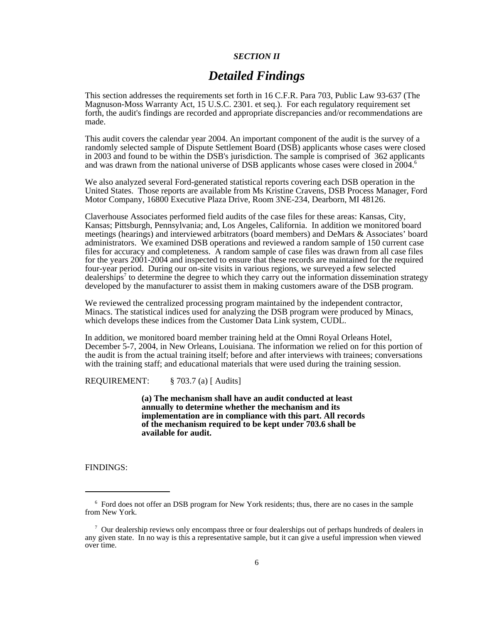# *SECTION II*

# *Detailed Findings*

This section addresses the requirements set forth in 16 C.F.R. Para 703, Public Law 93-637 (The Magnuson-Moss Warranty Act, 15 U.S.C. 2301. et seq.). For each regulatory requirement set forth, the audit's findings are recorded and appropriate discrepancies and/or recommendations are made.

This audit covers the calendar year 2004. An important component of the audit is the survey of a randomly selected sample of Dispute Settlement Board (DSB) applicants whose cases were closed in 2003 and found to be within the DSB's jurisdiction. The sample is comprised of 362 applicants and was drawn from the national universe of DSB applicants whose cases were closed in 2004.<sup>6</sup>

We also analyzed several Ford-generated statistical reports covering each DSB operation in the United States. Those reports are available from Ms Kristine Cravens, DSB Process Manager, Ford Motor Company, 16800 Executive Plaza Drive, Room 3NE-234, Dearborn, MI 48126.

Claverhouse Associates performed field audits of the case files for these areas: Kansas, City, Kansas; Pittsburgh, Pennsylvania; and, Los Angeles, California. In addition we monitored board meetings (hearings) and interviewed arbitrators (board members) and DeMars & Associates' board administrators. We examined DSB operations and reviewed a random sample of 150 current case files for accuracy and completeness. A random sample of case files was drawn from all case files for the years 2001-2004 and inspected to ensure that these records are maintained for the required four-year period. During our on-site visits in various regions, we surveyed a few selected dealerships<sup>7</sup> to determine the degree to which they carry out the information dissemination strategy developed by the manufacturer to assist them in making customers aware of the DSB program.

We reviewed the centralized processing program maintained by the independent contractor, Minacs. The statistical indices used for analyzing the DSB program were produced by Minacs, which develops these indices from the Customer Data Link system, CUDL.

In addition, we monitored board member training held at the Omni Royal Orleans Hotel, December 5-7, 2004, in New Orleans, Louisiana. The information we relied on for this portion of the audit is from the actual training itself; before and after interviews with trainees; conversations with the training staff; and educational materials that were used during the training session.

REQUIREMENT: § 703.7 (a) [ Audits]

**(a) The mechanism shall have an audit conducted at least annually to determine whether the mechanism and its implementation are in compliance with this part. All records of the mechanism required to be kept under 703.6 shall be available for audit.**

FINDINGS:

<sup>&</sup>lt;sup>6</sup> Ford does not offer an DSB program for New York residents; thus, there are no cases in the sample from New York.

<sup>&</sup>lt;sup>7</sup> Our dealership reviews only encompass three or four dealerships out of perhaps hundreds of dealers in any given state. In no way is this a representative sample, but it can give a useful impression when viewed over time.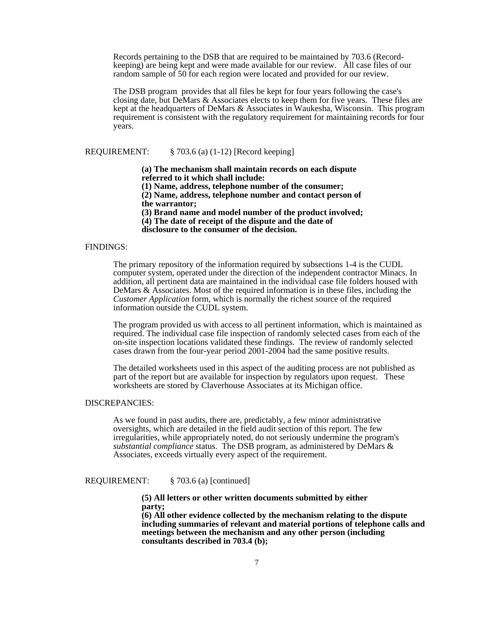Records pertaining to the DSB that are required to be maintained by 703.6 (Recordkeeping) are being kept and were made available for our review. All case files of our random sample of 50 for each region were located and provided for our review.

The DSB program provides that all files be kept for four years following the case's closing date, but DeMars & Associates elects to keep them for five years. These files are kept at the headquarters of DeMars & Associates in Waukesha, Wisconsin. This program requirement is consistent with the regulatory requirement for maintaining records for four years.

## REQUIREMENT: § 703.6 (a) (1-12) [Record keeping]

**(a) The mechanism shall maintain records on each dispute referred to it which shall include:** 

**(1) Name, address, telephone number of the consumer;** 

**(2) Name, address, telephone number and contact person of the warrantor;**

**(3) Brand name and model number of the product involved; (4) The date of receipt of the dispute and the date of disclosure to the consumer of the decision.**

### FINDINGS:

The primary repository of the information required by subsections 1-4 is the CUDL computer system, operated under the direction of the independent contractor Minacs. In addition, all pertinent data are maintained in the individual case file folders housed with DeMars & Associates. Most of the required information is in these files, including the *Customer Application* form*,* which is normally the richest source of the required information outside the CUDL system.

The program provided us with access to all pertinent information, which is maintained as required. The individual case file inspection of randomly selected cases from each of the on-site inspection locations validated these findings. The review of randomly selected cases drawn from the four-year period 2001-2004 had the same positive results.

The detailed worksheets used in this aspect of the auditing process are not published as part of the report but are available for inspection by regulators upon request. These worksheets are stored by Claverhouse Associates at its Michigan office.

# DISCREPANCIES:

As we found in past audits, there are, predictably, a few minor administrative oversights, which are detailed in the field audit section of this report. The few irregularities, while appropriately noted, do not seriously undermine the program's *substantial compliance* status. The DSB program, as administered by DeMars & Associates, exceeds virtually every aspect of the requirement.

REQUIREMENT: § 703.6 (a) [continued]

**(5) All letters or other written documents submitted by either party;** 

**(6) All other evidence collected by the mechanism relating to the dispute including summaries of relevant and material portions of telephone calls and meetings between the mechanism and any other person (including consultants described in 703.4 (b);**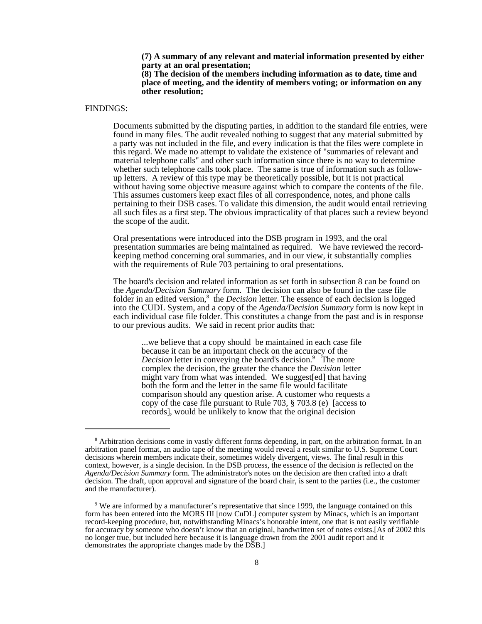**(7) A summary of any relevant and material information presented by either party at an oral presentation; (8) The decision of the members including information as to date, time and**

**place of meeting, and the identity of members voting; or information on any other resolution;**

#### FINDINGS:

 Documents submitted by the disputing parties, in addition to the standard file entries, were found in many files. The audit revealed nothing to suggest that any material submitted by a party was not included in the file, and every indication is that the files were complete in this regard. We made no attempt to validate the existence of "summaries of relevant and material telephone calls" and other such information since there is no way to determine whether such telephone calls took place. The same is true of information such as followup letters. A review of this type may be theoretically possible, but it is not practical without having some objective measure against which to compare the contents of the file. This assumes customers keep exact files of all correspondence, notes, and phone calls pertaining to their DSB cases. To validate this dimension, the audit would entail retrieving all such files as a first step. The obvious impracticality of that places such a review beyond the scope of the audit.

Oral presentations were introduced into the DSB program in 1993, and the oral presentation summaries are being maintained as required. We have reviewed the recordkeeping method concerning oral summaries, and in our view, it substantially complies with the requirements of Rule 703 pertaining to oral presentations.

The board's decision and related information as set forth in subsection 8 can be found on the *Agenda/Decision Summary* form. The decision can also be found in the case file folder in an edited version,<sup>8</sup> the *Decision* letter. The essence of each decision is logged into the CUDL System, and a copy of the *Agenda/Decision Summary* form is now kept in each individual case file folder. This constitutes a change from the past and is in response to our previous audits. We said in recent prior audits that:

...we believe that a copy should be maintained in each case file because it can be an important check on the accuracy of the Decision letter in conveying the board's decision.<sup>9</sup> The more complex the decision, the greater the chance the *Decision* letter might vary from what was intended. We suggest[ed] that having both the form and the letter in the same file would facilitate comparison should any question arise. A customer who requests a copy of the case file pursuant to Rule 703, § 703.8 (e) [access to records], would be unlikely to know that the original decision

<sup>&</sup>lt;sup>8</sup> Arbitration decisions come in vastly different forms depending, in part, on the arbitration format. In an arbitration panel format, an audio tape of the meeting would reveal a result similar to U.S. Supreme Court decisions wherein members indicate their, sometimes widely divergent, views. The final result in this context, however, is a single decision. In the DSB process, the essence of the decision is reflected on the *Agenda/Decision Summary* form. The administrator's notes on the decision are then crafted into a draft decision. The draft, upon approval and signature of the board chair, is sent to the parties (i.e., the customer and the manufacturer).

 <sup>9</sup> We are informed by a manufacturer's representative that since 1999, the language contained on this form has been entered into the MORS III [now CuDL] computer system by Minacs, which is an important record-keeping procedure, but, notwithstanding Minacs's honorable intent, one that is not easily verifiable for accuracy by someone who doesn't know that an original, handwritten set of notes exists.[As of 2002 this no longer true, but included here because it is language drawn from the 2001 audit report and it demonstrates the appropriate changes made by the DSB.]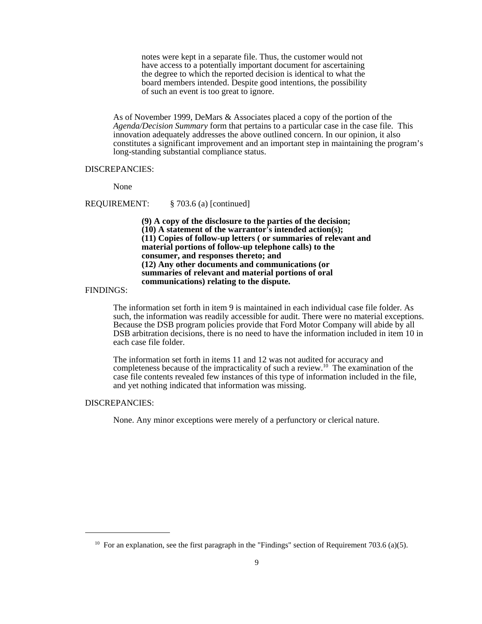notes were kept in a separate file. Thus, the customer would not have access to a potentially important document for ascertaining the degree to which the reported decision is identical to what the board members intended. Despite good intentions, the possibility of such an event is too great to ignore.

As of November 1999, DeMars & Associates placed a copy of the portion of the *Agenda/Decision Summary* form that pertains to a particular case in the case file. This innovation adequately addresses the above outlined concern. In our opinion, it also constitutes a significant improvement and an important step in maintaining the program's long-standing substantial compliance status.

# DISCREPANCIES:

None

REQUIREMENT: § 703.6 (a) [continued]

**(9) A copy of the disclosure to the parties of the decision; (10) A statement of the warrantor's intended action(s); (11) Copies of follow-up letters ( or summaries of relevant and material portions of follow-up telephone calls) to the consumer, and responses thereto; and (12) Any other documents and communications (or summaries of relevant and material portions of oral communications) relating to the dispute.**

FINDINGS:

The information set forth in item 9 is maintained in each individual case file folder. As such, the information was readily accessible for audit. There were no material exceptions. Because the DSB program policies provide that Ford Motor Company will abide by all DSB arbitration decisions, there is no need to have the information included in item 10 in each case file folder.

The information set forth in items 11 and 12 was not audited for accuracy and completeness because of the impracticality of such a review.<sup>10</sup> The examination of the case file contents revealed few instances of this type of information included in the file, and yet nothing indicated that information was missing.

# DISCREPANCIES:

None. Any minor exceptions were merely of a perfunctory or clerical nature.

<sup>&</sup>lt;sup>10</sup> For an explanation, see the first paragraph in the "Findings" section of Requirement 703.6 (a)(5).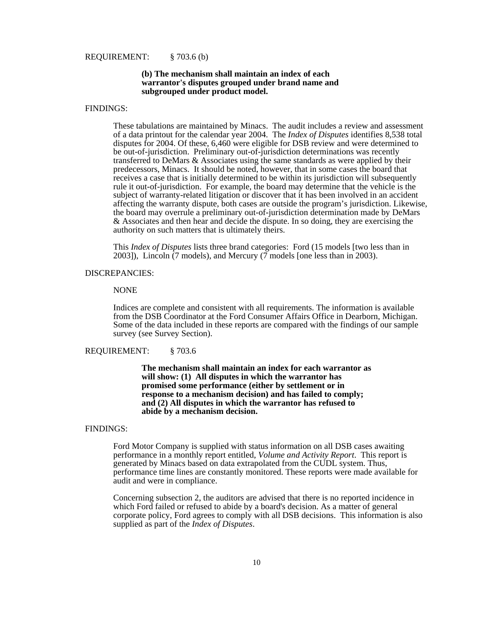#### REQUIREMENT: § 703.6 (b)

#### **(b) The mechanism shall maintain an index of each warrantor's disputes grouped under brand name and subgrouped under product model.**

#### FINDINGS:

These tabulations are maintained by Minacs. The audit includes a review and assessment of a data printout for the calendar year 2004. The *Index of Disputes* identifies 8,538 total disputes for 2004. Of these, 6,460 were eligible for DSB review and were determined to be out-of-jurisdiction. Preliminary out-of-jurisdiction determinations was recently transferred to DeMars & Associates using the same standards as were applied by their predecessors, Minacs. It should be noted, however, that in some cases the board that receives a case that is initially determined to be within its jurisdiction will subsequently rule it out-of-jurisdiction. For example, the board may determine that the vehicle is the subject of warranty-related litigation or discover that it has been involved in an accident affecting the warranty dispute, both cases are outside the program's jurisdiction. Likewise, the board may overrule a preliminary out-of-jurisdiction determination made by DeMars & Associates and then hear and decide the dispute. In so doing, they are exercising the authority on such matters that is ultimately theirs.

This *Index of Disputes* lists three brand categories: Ford (15 models [two less than in 2003]), Lincoln (7 models), and Mercury (7 models [one less than in 2003).

# DISCREPANCIES:

# NONE

Indices are complete and consistent with all requirements. The information is available from the DSB Coordinator at the Ford Consumer Affairs Office in Dearborn, Michigan. Some of the data included in these reports are compared with the findings of our sample survey (see Survey Section).

#### REQUIREMENT: § 703.6

**The mechanism shall maintain an index for each warrantor as will show: (1) All disputes in which the warrantor has promised some performance (either by settlement or in response to a mechanism decision) and has failed to comply; and (2) All disputes in which the warrantor has refused to abide by a mechanism decision.**

#### FINDINGS:

Ford Motor Company is supplied with status information on all DSB cases awaiting performance in a monthly report entitled, *Volume and Activity Report*. This report is generated by Minacs based on data extrapolated from the CUDL system. Thus, performance time lines are constantly monitored. These reports were made available for audit and were in compliance.

Concerning subsection 2, the auditors are advised that there is no reported incidence in which Ford failed or refused to abide by a board's decision. As a matter of general corporate policy, Ford agrees to comply with all DSB decisions. This information is also supplied as part of the *Index of Disputes*.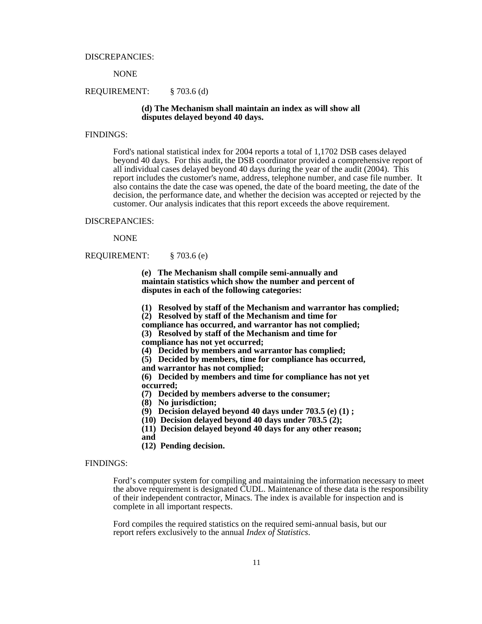DISCREPANCIES:

NONE

#### REQUIREMENT: § 703.6 (d)

# **(d) The Mechanism shall maintain an index as will show all disputes delayed beyond 40 days.**

# FINDINGS:

Ford's national statistical index for 2004 reports a total of 1,1702 DSB cases delayed beyond 40 days. For this audit, the DSB coordinator provided a comprehensive report of all individual cases delayed beyond 40 days during the year of the audit (2004). This report includes the customer's name, address, telephone number, and case file number. It also contains the date the case was opened, the date of the board meeting, the date of the decision, the performance date, and whether the decision was accepted or rejected by the customer. Our analysis indicates that this report exceeds the above requirement.

#### DISCREPANCIES:

NONE

REQUIREMENT: § 703.6 (e)

**(e) The Mechanism shall compile semi-annually and maintain statistics which show the number and percent of disputes in each of the following categories:** 

**(1) Resolved by staff of the Mechanism and warrantor has complied;**

**(2) Resolved by staff of the Mechanism and time for**

**compliance has occurred, and warrantor has not complied;**

 **(3) Resolved by staff of the Mechanism and time for**

**compliance has not yet occurred;**

**(4) Decided by members and warrantor has complied;**

**(5) Decided by members, time for compliance has occurred,**

**and warrantor has not complied;**

**(6) Decided by members and time for compliance has not yet occurred;**

**(7) Decided by members adverse to the consumer;**

- **(8) No jurisdiction;**
- **(9) Decision delayed beyond 40 days under 703.5 (e) (1) ;**
- **(10) Decision delayed beyond 40 days under 703.5 (2);**

**(11) Decision delayed beyond 40 days for any other reason;**

**and** 

**(12) Pending decision.**

# FINDINGS:

 Ford's computer system for compiling and maintaining the information necessary to meet the above requirement is designated CUDL. Maintenance of these data is the responsibility of their independent contractor, Minacs. The index is available for inspection and is complete in all important respects.

Ford compiles the required statistics on the required semi-annual basis, but our report refers exclusively to the annual *Index of Statistics*.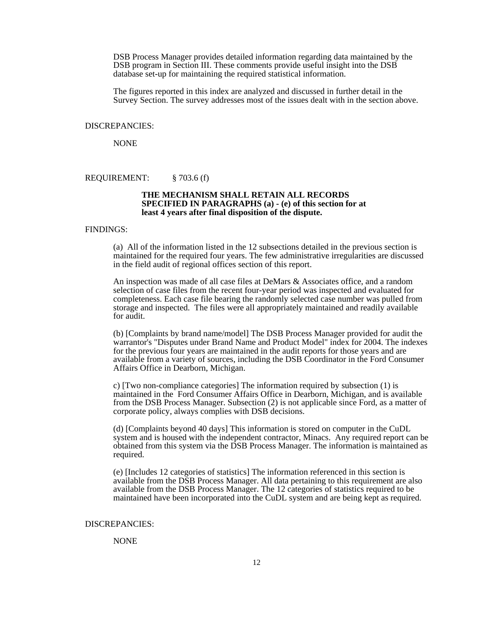DSB Process Manager provides detailed information regarding data maintained by the DSB program in Section III. These comments provide useful insight into the DSB database set-up for maintaining the required statistical information.

The figures reported in this index are analyzed and discussed in further detail in the Survey Section. The survey addresses most of the issues dealt with in the section above.

#### DISCREPANCIES:

NONE

REQUIREMENT: § 703.6 (f)

#### **THE MECHANISM SHALL RETAIN ALL RECORDS SPECIFIED IN PARAGRAPHS (a) - (e) of this section for at least 4 years after final disposition of the dispute.**

## FINDINGS:

(a) All of the information listed in the 12 subsections detailed in the previous section is maintained for the required four years. The few administrative irregularities are discussed in the field audit of regional offices section of this report.

An inspection was made of all case files at DeMars & Associates office, and a random selection of case files from the recent four-year period was inspected and evaluated for completeness. Each case file bearing the randomly selected case number was pulled from storage and inspected. The files were all appropriately maintained and readily available for audit.

(b) [Complaints by brand name/model] The DSB Process Manager provided for audit the warrantor's "Disputes under Brand Name and Product Model" index for 2004. The indexes for the previous four years are maintained in the audit reports for those years and are available from a variety of sources, including the DSB Coordinator in the Ford Consumer Affairs Office in Dearborn, Michigan.

c) [Two non-compliance categories] The information required by subsection (1) is maintained in the Ford Consumer Affairs Office in Dearborn, Michigan, and is available from the DSB Process Manager. Subsection (2) is not applicable since Ford, as a matter of corporate policy, always complies with DSB decisions.

(d) [Complaints beyond 40 days] This information is stored on computer in the CuDL system and is housed with the independent contractor, Minacs. Any required report can be obtained from this system via the DSB Process Manager. The information is maintained as required.

(e) [Includes 12 categories of statistics] The information referenced in this section is available from the DSB Process Manager. All data pertaining to this requirement are also available from the DSB Process Manager. The 12 categories of statistics required to be maintained have been incorporated into the CuDL system and are being kept as required.

#### DISCREPANCIES:

#### NONE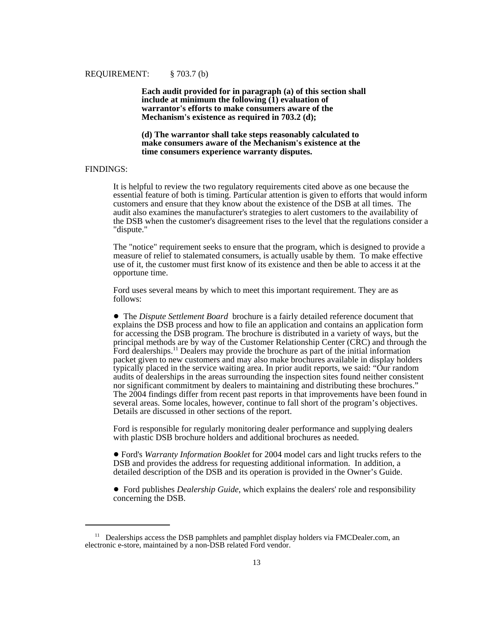#### REQUIREMENT: § 703.7 (b)

**Each audit provided for in paragraph (a) of this section shall** include at minimum the following  $(1)$  evaluation of **warrantor's efforts to make consumers aware of the Mechanism's existence as required in 703.2 (d);**

**(d) The warrantor shall take steps reasonably calculated to make consumers aware of the Mechanism's existence at the time consumers experience warranty disputes.**

# FINDINGS:

It is helpful to review the two regulatory requirements cited above as one because the essential feature of both is timing. Particular attention is given to efforts that would inform customers and ensure that they know about the existence of the DSB at all times. The audit also examines the manufacturer's strategies to alert customers to the availability of the DSB when the customer's disagreement rises to the level that the regulations consider a "dispute."

The "notice" requirement seeks to ensure that the program, which is designed to provide a measure of relief to stalemated consumers, is actually usable by them. To make effective use of it, the customer must first know of its existence and then be able to access it at the opportune time.

Ford uses several means by which to meet this important requirement. They are as follows:

! The *Dispute Settlement Board* brochure is a fairly detailed reference document that explains the DSB process and how to file an application and contains an application form for accessing the DSB program. The brochure is distributed in a variety of ways, but the principal methods are by way of the Customer Relationship Center (CRC) and through the Ford dealerships.<sup>11</sup> Dealers may provide the brochure as part of the initial information packet given to new customers and may also make brochures available in display holders typically placed in the service waiting area. In prior audit reports, we said: "Our random audits of dealerships in the areas surrounding the inspection sites found neither consistent nor significant commitment by dealers to maintaining and distributing these brochures." The 2004 findings differ from recent past reports in that improvements have been found in several areas. Some locales, however, continue to fall short of the program's objectives. Details are discussed in other sections of the report.

Ford is responsible for regularly monitoring dealer performance and supplying dealers with plastic DSB brochure holders and additional brochures as needed.

 ! Ford's *Warranty Information Booklet* for 2004 model cars and light trucks refers to the DSB and provides the address for requesting additional information. In addition, a detailed description of the DSB and its operation is provided in the Owner's Guide.

! Ford publishes *Dealership Guide*, which explains the dealers' role and responsibility concerning the DSB.

 $11$  Dealerships access the DSB pamphlets and pamphlet display holders via FMCDealer.com, an electronic e-store, maintained by a non-DSB related Ford vendor.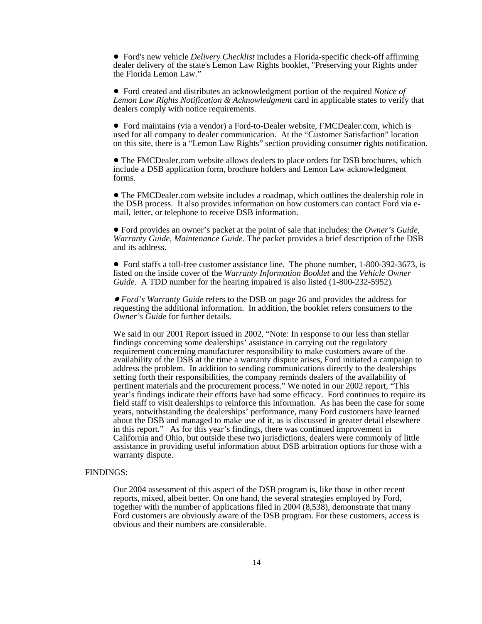! Ford's new vehicle *Delivery Checklist* includes a Florida-specific check-off affirming dealer delivery of the state's Lemon Law Rights booklet, "Preserving your Rights under the Florida Lemon Law."

! Ford created and distributes an acknowledgment portion of the required *Notice of Lemon Law Rights Notification & Acknowledgment* card in applicable states to verify that dealers comply with notice requirements.

! Ford maintains (via a vendor) a Ford-to-Dealer website, FMCDealer.com, which is used for all company to dealer communication. At the "Customer Satisfaction" location on this site, there is a "Lemon Law Rights" section providing consumer rights notification.

! The FMCDealer.com website allows dealers to place orders for DSB brochures, which include a DSB application form, brochure holders and Lemon Law acknowledgment forms.

• The FMCDealer.com website includes a roadmap, which outlines the dealership role in the DSB process. It also provides information on how customers can contact Ford via email, letter, or telephone to receive DSB information.

! Ford provides an owner's packet at the point of sale that includes: the *Owner's Guide*, *Warranty Guide*, *Maintenance Guide*. The packet provides a brief description of the DSB and its address.

• Ford staffs a toll-free customer assistance line. The phone number, 1-800-392-3673, is listed on the inside cover of the *Warranty Information Booklet* and the *Vehicle Owner Guide*. A TDD number for the hearing impaired is also listed (1-800-232-5952)*.*

! *Ford's Warranty Guide* refers to the DSB on page 26 and provides the address for requesting the additional information. In addition, the booklet refers consumers to the *Owner's Guide* for further details.

We said in our 2001 Report issued in 2002, "Note: In response to our less than stellar findings concerning some dealerships' assistance in carrying out the regulatory requirement concerning manufacturer responsibility to make customers aware of the availability of the DSB at the time a warranty dispute arises, Ford initiated a campaign to address the problem. In addition to sending communications directly to the dealerships setting forth their responsibilities, the company reminds dealers of the availability of pertinent materials and the procurement process." We noted in our 2002 report, "This year's findings indicate their efforts have had some efficacy. Ford continues to require its field staff to visit dealerships to reinforce this information. As has been the case for some years, notwithstanding the dealerships' performance, many Ford customers have learned about the DSB and managed to make use of it, as is discussed in greater detail elsewhere in this report." As for this year's findings, there was continued improvement in California and Ohio, but outside these two jurisdictions, dealers were commonly of little assistance in providing useful information about DSB arbitration options for those with a warranty dispute.

#### FINDINGS:

Our 2004 assessment of this aspect of the DSB program is, like those in other recent reports, mixed, albeit better. On one hand, the several strategies employed by Ford, together with the number of applications filed in 2004 (8,538), demonstrate that many Ford customers are obviously aware of the DSB program. For these customers, access is obvious and their numbers are considerable.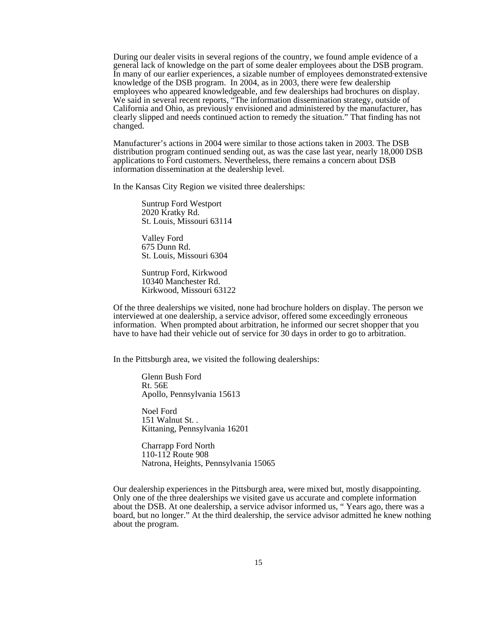During our dealer visits in several regions of the country, we found ample evidence of a general lack of knowledge on the part of some dealer employees about the DSB program. In many of our earlier experiences, a sizable number of employees demonstrated extensive knowledge of the DSB program. In 2004, as in 2003, there were few dealership employees who appeared knowledgeable, and few dealerships had brochures on display. We said in several recent reports, "The information dissemination strategy, outside of California and Ohio, as previously envisioned and administered by the manufacturer, has clearly slipped and needs continued action to remedy the situation." That finding has not changed.

Manufacturer's actions in 2004 were similar to those actions taken in 2003. The DSB distribution program continued sending out, as was the case last year, nearly 18,000 DSB applications to Ford customers. Nevertheless, there remains a concern about DSB information dissemination at the dealership level.

In the Kansas City Region we visited three dealerships:

Suntrup Ford Westport 2020 Kratky Rd. St. Louis, Missouri 63114

Valley Ford 675 Dunn Rd. St. Louis, Missouri 6304

Suntrup Ford, Kirkwood 10340 Manchester Rd. Kirkwood, Missouri 63122

Of the three dealerships we visited, none had brochure holders on display. The person we interviewed at one dealership, a service advisor, offered some exceedingly erroneous information. When prompted about arbitration, he informed our secret shopper that you have to have had their vehicle out of service for 30 days in order to go to arbitration.

In the Pittsburgh area, we visited the following dealerships:

Glenn Bush Ford Rt. 56E Apollo, Pennsylvania 15613

Noel Ford 151 Walnut St. . Kittaning, Pennsylvania 16201

Charrapp Ford North 110-112 Route 908 Natrona, Heights, Pennsylvania 15065

Our dealership experiences in the Pittsburgh area, were mixed but, mostly disappointing. Only one of the three dealerships we visited gave us accurate and complete information about the DSB. At one dealership, a service advisor informed us, " Years ago, there was a board, but no longer." At the third dealership, the service advisor admitted he knew nothing about the program.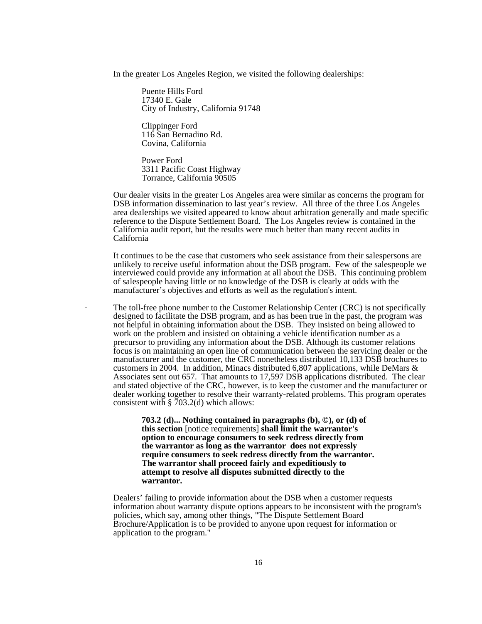In the greater Los Angeles Region, we visited the following dealerships:

Puente Hills Ford 17340 E. Gale City of Industry, California 91748

Clippinger Ford 116 San Bernadino Rd. Covina, California

Power Ford 3311 Pacific Coast Highway Torrance, California 90505

Our dealer visits in the greater Los Angeles area were similar as concerns the program for DSB information dissemination to last year's review. All three of the three Los Angeles area dealerships we visited appeared to know about arbitration generally and made specific reference to the Dispute Settlement Board. The Los Angeles review is contained in the California audit report, but the results were much better than many recent audits in California

It continues to be the case that customers who seek assistance from their salespersons are unlikely to receive useful information about the DSB program. Few of the salespeople we interviewed could provide any information at all about the DSB. This continuing problem of salespeople having little or no knowledge of the DSB is clearly at odds with the manufacturer's objectives and efforts as well as the regulation's intent.

The toll-free phone number to the Customer Relationship Center (CRC) is not specifically designed to facilitate the DSB program, and as has been true in the past, the program was not helpful in obtaining information about the DSB. They insisted on being allowed to work on the problem and insisted on obtaining a vehicle identification number as a precursor to providing any information about the DSB. Although its customer relations focus is on maintaining an open line of communication between the servicing dealer or the manufacturer and the customer, the CRC nonetheless distributed 10,133 DSB brochures to customers in 2004. In addition, Minacs distributed 6,807 applications, while DeMars & Associates sent out 657. That amounts to 17,597 DSB applications distributed. The clear and stated objective of the CRC, however, is to keep the customer and the manufacturer or dealer working together to resolve their warranty-related problems. This program operates consistent with  $\S$  703.2(d) which allows:

> **703.2 (d)... Nothing contained in paragraphs (b), ©), or (d) of this section** [notice requirements] **shall limit the warrantor's option to encourage consumers to seek redress directly from the warrantor as long as the warrantor does not expressly require consumers to seek redress directly from the warrantor. The warrantor shall proceed fairly and expeditiously to attempt to resolve all disputes submitted directly to the warrantor.**

Dealers' failing to provide information about the DSB when a customer requests information about warranty dispute options appears to be inconsistent with the program's policies*,* which say, among other things, "The Dispute Settlement Board Brochure/Application is to be provided to anyone upon request for information or application to the program."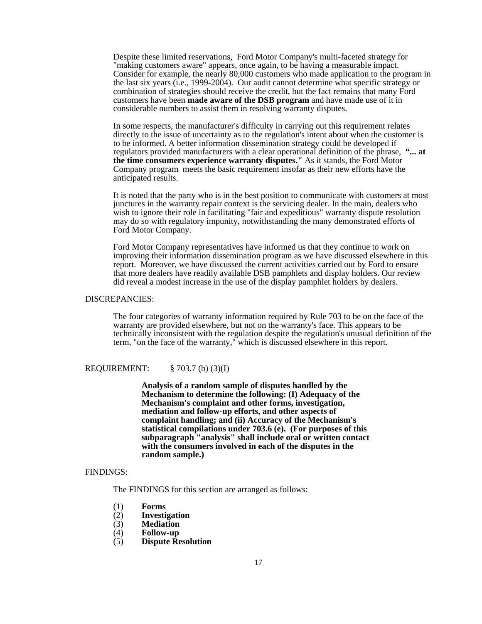Despite these limited reservations, Ford Motor Company's multi-faceted strategy for "making customers aware" appears, once again, to be having a measurable impact. Consider for example, the nearly 80,000 customers who made application to the program in the last six years (i.e., 1999-2004). Our audit cannot determine what specific strategy or combination of strategies should receive the credit, but the fact remains that many Ford customers have been **made aware of the DSB program** and have made use of it in considerable numbers to assist them in resolving warranty disputes.

In some respects, the manufacturer's difficulty in carrying out this requirement relates directly to the issue of uncertainty as to the regulation's intent about when the customer is to be informed. A better information dissemination strategy could be developed if regulators provided manufacturers with a clear operational definition of the phrase, **"... at the time consumers experience warranty disputes."** As it stands, the Ford Motor Company program meets the basic requirement insofar as their new efforts have the anticipated results.

It is noted that the party who is in the best position to communicate with customers at most junctures in the warranty repair context is the servicing dealer. In the main, dealers who wish to ignore their role in facilitating "fair and expeditious" warranty dispute resolution may do so with regulatory impunity, notwithstanding the many demonstrated efforts of Ford Motor Company.

Ford Motor Company representatives have informed us that they continue to work on improving their information dissemination program as we have discussed elsewhere in this report. Moreover, we have discussed the current activities carried out by Ford to ensure that more dealers have readily available DSB pamphlets and display holders. Our review did reveal a modest increase in the use of the display pamphlet holders by dealers.

#### DISCREPANCIES:

The four categories of warranty information required by Rule 703 to be on the face of the warranty are provided elsewhere, but not on the warranty's face. This appears to be technically inconsistent with the regulation despite the regulation's unusual definition of the term, "on the face of the warranty," which is discussed elsewhere in this report.

#### REQUIREMENT: § 703.7 (b) (3)(I)

**Analysis of a random sample of disputes handled by the Mechanism to determine the following: (I) Adequacy of the Mechanism's complaint and other forms, investigation, mediation and follow-up efforts, and other aspects of complaint handling; and (ii) Accuracy of the Mechanism's statistical compilations under 703.6 (e). (For purposes of this subparagraph "analysis" shall include oral or written contact with the consumers involved in each of the disputes in the random sample.)**

#### FINDINGS:

The FINDINGS for this section are arranged as follows:

- (1) **Forms**
- (2) **Investigation**
- (3) **Mediation**
- (4) **Follow-up**
- (5) **Dispute Resolution**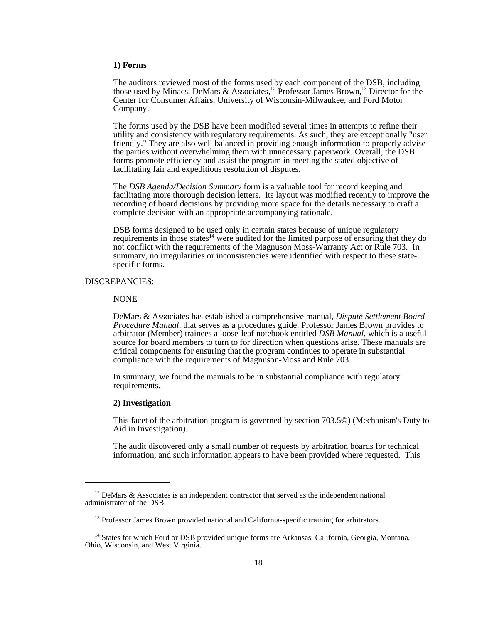#### **1) Forms**

The auditors reviewed most of the forms used by each component of the DSB, including those used by Minacs, DeMars & Associates,<sup>12</sup> Professor James Brown,<sup>13</sup> Director for the Center for Consumer Affairs, University of Wisconsin-Milwaukee, and Ford Motor Company.

 The forms used by the DSB have been modified several times in attempts to refine their utility and consistency with regulatory requirements. As such, they are exceptionally "user friendly." They are also well balanced in providing enough information to properly advise the parties without overwhelming them with unnecessary paperwork. Overall, the DSB forms promote efficiency and assist the program in meeting the stated objective of facilitating fair and expeditious resolution of disputes.

The *DSB Agenda/Decision Summary* form is a valuable tool for record keeping and facilitating more thorough decision letters. Its layout was modified recently to improve the recording of board decisions by providing more space for the details necessary to craft a complete decision with an appropriate accompanying rationale.

DSB forms designed to be used only in certain states because of unique regulatory requirements in those states<sup>14</sup> were audited for the limited purpose of ensuring that they do not conflict with the requirements of the Magnuson Moss-Warranty Act or Rule 703. In summary, no irregularities or inconsistencies were identified with respect to these statespecific forms.

# DISCREPANCIES:

#### NONE

 DeMars & Associates has established a comprehensive manual, *Dispute Settlement Board Procedure Manual,* that serves as a procedures guide. Professor James Brown provides to arbitrator (Member) trainees a loose-leaf notebook entitled *DSB Manual,* which is a useful source for board members to turn to for direction when questions arise. These manuals are critical components for ensuring that the program continues to operate in substantial compliance with the requirements of Magnuson-Moss and Rule 703.

In summary, we found the manuals to be in substantial compliance with regulatory requirements.

#### **2) Investigation**

This facet of the arbitration program is governed by section 703.5©) (Mechanism's Duty to Aid in Investigation).

The audit discovered only a small number of requests by arbitration boards for technical information, and such information appears to have been provided where requested. This

 $12$  DeMars & Associates is an independent contractor that served as the independent national administrator of the DSB.

<sup>&</sup>lt;sup>13</sup> Professor James Brown provided national and California-specific training for arbitrators.

<sup>&</sup>lt;sup>14</sup> States for which Ford or DSB provided unique forms are Arkansas, California, Georgia, Montana, Ohio, Wisconsin, and West Virginia.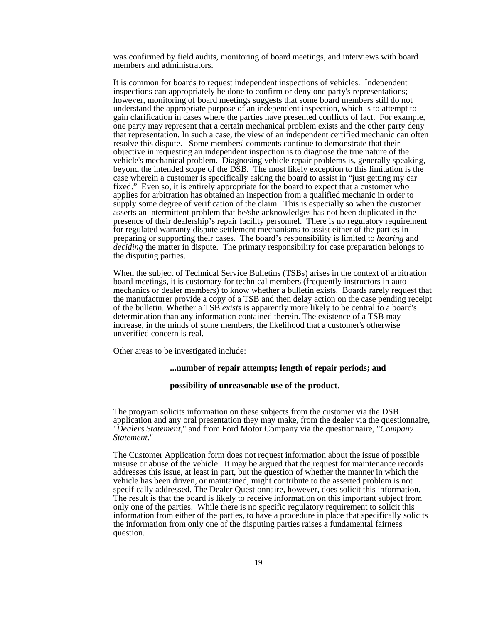was confirmed by field audits, monitoring of board meetings, and interviews with board members and administrators.

It is common for boards to request independent inspections of vehicles. Independent inspections can appropriately be done to confirm or deny one party's representations; however, monitoring of board meetings suggests that some board members still do not understand the appropriate purpose of an independent inspection, which is to attempt to gain clarification in cases where the parties have presented conflicts of fact. For example, one party may represent that a certain mechanical problem exists and the other party deny that representation. In such a case, the view of an independent certified mechanic can often resolve this dispute. Some members' comments continue to demonstrate that their objective in requesting an independent inspection is to diagnose the true nature of the vehicle's mechanical problem. Diagnosing vehicle repair problems is, generally speaking, beyond the intended scope of the DSB. The most likely exception to this limitation is the case wherein a customer is specifically asking the board to assist in "just getting my car fixed." Even so, it is entirely appropriate for the board to expect that a customer who applies for arbitration has obtained an inspection from a qualified mechanic in order to supply some degree of verification of the claim. This is especially so when the customer asserts an intermittent problem that he/she acknowledges has not been duplicated in the presence of their dealership's repair facility personnel. There is no regulatory requirement for regulated warranty dispute settlement mechanisms to assist either of the parties in preparing or supporting their cases. The board's responsibility is limited to *hearing* and *deciding* the matter in dispute. The primary responsibility for case preparation belongs to the disputing parties.

When the subject of Technical Service Bulletins (TSBs) arises in the context of arbitration board meetings, it is customary for technical members (frequently instructors in auto mechanics or dealer members) to know whether a bulletin exists. Boards rarely request that the manufacturer provide a copy of a TSB and then delay action on the case pending receipt of the bulletin. Whether a TSB *exists* is apparently more likely to be central to a board's determination than any information contained therein. The existence of a TSB may increase, in the minds of some members, the likelihood that a customer's otherwise unverified concern is real.

Other areas to be investigated include:

#### **...number of repair attempts; length of repair periods; and**

#### **possibility of unreasonable use of the product**.

The program solicits information on these subjects from the customer via the DSB application and any oral presentation they may make, from the dealer via the questionnaire, "*Dealers Statement*," and from Ford Motor Company via the questionnaire, "*Company Statement*."

The Customer Application form does not request information about the issue of possible misuse or abuse of the vehicle. It may be argued that the request for maintenance records addresses this issue, at least in part, but the question of whether the manner in which the vehicle has been driven, or maintained, might contribute to the asserted problem is not specifically addressed. The Dealer Questionnaire, however, does solicit this information. The result is that the board is likely to receive information on this important subject from only one of the parties. While there is no specific regulatory requirement to solicit this information from either of the parties, to have a procedure in place that specifically solicits the information from only one of the disputing parties raises a fundamental fairness question.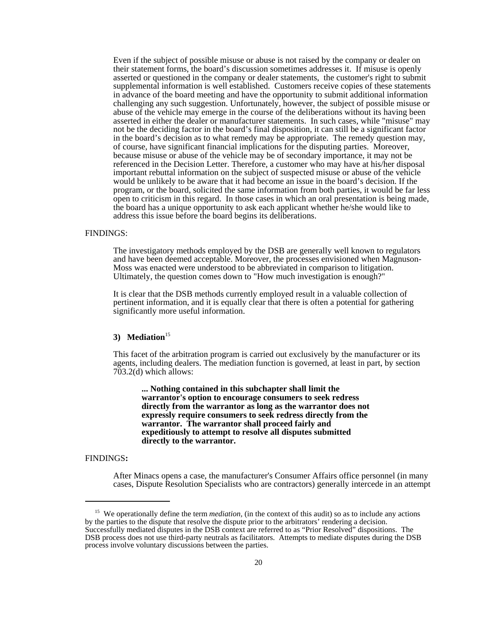Even if the subject of possible misuse or abuse is not raised by the company or dealer on their statement forms, the board's discussion sometimes addresses it. If misuse is openly asserted or questioned in the company or dealer statements, the customer's right to submit supplemental information is well established. Customers receive copies of these statements in advance of the board meeting and have the opportunity to submit additional information challenging any such suggestion. Unfortunately, however, the subject of possible misuse or abuse of the vehicle may emerge in the course of the deliberations without its having been asserted in either the dealer or manufacturer statements. In such cases, while "misuse" may not be the deciding factor in the board's final disposition, it can still be a significant factor in the board's decision as to what remedy may be appropriate. The remedy question may, of course, have significant financial implications for the disputing parties. Moreover, because misuse or abuse of the vehicle may be of secondary importance, it may not be referenced in the Decision Letter. Therefore, a customer who may have at his/her disposal important rebuttal information on the subject of suspected misuse or abuse of the vehicle would be unlikely to be aware that it had become an issue in the board's decision. If the program, or the board, solicited the same information from both parties, it would be far less open to criticism in this regard. In those cases in which an oral presentation is being made, the board has a unique opportunity to ask each applicant whether he/she would like to address this issue before the board begins its deliberations.

#### FINDINGS:

The investigatory methods employed by the DSB are generally well known to regulators and have been deemed acceptable. Moreover, the processes envisioned when Magnuson-Moss was enacted were understood to be abbreviated in comparison to litigation. Ultimately, the question comes down to "How much investigation is enough?"

It is clear that the DSB methods currently employed result in a valuable collection of pertinent information, and it is equally clear that there is often a potential for gathering significantly more useful information.

# 3) Mediation<sup>15</sup>

This facet of the arbitration program is carried out exclusively by the manufacturer or its agents, including dealers. The mediation function is governed, at least in part, by section 703.2(d) which allows:

**... Nothing contained in this subchapter shall limit the warrantor's option to encourage consumers to seek redress directly from the warrantor as long as the warrantor does not expressly require consumers to seek redress directly from the warrantor. The warrantor shall proceed fairly and expeditiously to attempt to resolve all disputes submitted directly to the warrantor.**

#### FINDINGS**:**

After Minacs opens a case, the manufacturer's Consumer Affairs office personnel (in many cases, Dispute Resolution Specialists who are contractors) generally intercede in an attempt

<sup>&</sup>lt;sup>15</sup> We operationally define the term *mediation*, (in the context of this audit) so as to include any actions by the parties to the dispute that resolve the dispute prior to the arbitrators' rendering a decision. Successfully mediated disputes in the DSB context are referred to as "Prior Resolved" dispositions. The DSB process does not use third-party neutrals as facilitators. Attempts to mediate disputes during the DSB process involve voluntary discussions between the parties.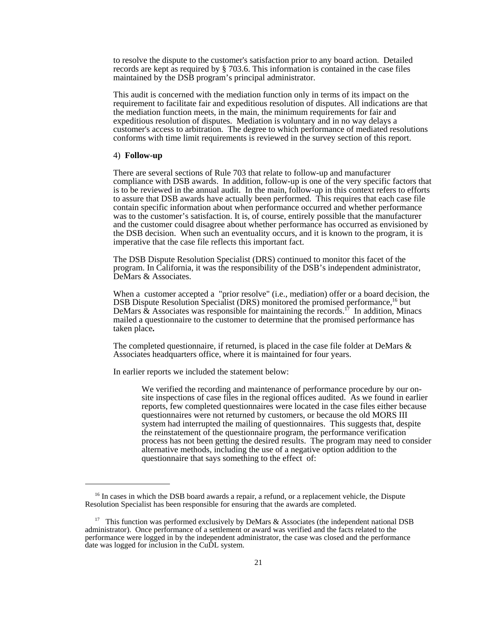to resolve the dispute to the customer's satisfaction prior to any board action. Detailed records are kept as required by § 703.6. This information is contained in the case files maintained by the DSB program's principal administrator.

This audit is concerned with the mediation function only in terms of its impact on the requirement to facilitate fair and expeditious resolution of disputes. All indications are that the mediation function meets, in the main, the minimum requirements for fair and expeditious resolution of disputes. Mediation is voluntary and in no way delays a customer's access to arbitration. The degree to which performance of mediated resolutions conforms with time limit requirements is reviewed in the survey section of this report.

#### 4) **Follow-up**

There are several sections of Rule 703 that relate to follow-up and manufacturer compliance with DSB awards. In addition, follow-up is one of the very specific factors that is to be reviewed in the annual audit. In the main, follow-up in this context refers to efforts to assure that DSB awards have actually been performed. This requires that each case file contain specific information about when performance occurred and whether performance was to the customer's satisfaction. It is, of course, entirely possible that the manufacturer and the customer could disagree about whether performance has occurred as envisioned by the DSB decision. When such an eventuality occurs, and it is known to the program, it is imperative that the case file reflects this important fact.

The DSB Dispute Resolution Specialist (DRS) continued to monitor this facet of the program. In California, it was the responsibility of the DSB's independent administrator, DeMars & Associates.

When a customer accepted a "prior resolve" (i.e., mediation) offer or a board decision, the DSB Dispute Resolution Specialist (DRS) monitored the promised performance,<sup>16</sup> but DeMars  $\&$  Associates was responsible for maintaining the records.<sup>17</sup> In addition, Minacs mailed a questionnaire to the customer to determine that the promised performance has taken place**.**

The completed questionnaire, if returned, is placed in the case file folder at DeMars & Associates headquarters office, where it is maintained for four years.

In earlier reports we included the statement below:

We verified the recording and maintenance of performance procedure by our onsite inspections of case files in the regional offices audited. As we found in earlier reports, few completed questionnaires were located in the case files either because questionnaires were not returned by customers, or because the old MORS III system had interrupted the mailing of questionnaires. This suggests that, despite the reinstatement of the questionnaire program, the performance verification process has not been getting the desired results. The program may need to consider alternative methods, including the use of a negative option addition to the questionnaire that says something to the effect of:

<sup>&</sup>lt;sup>16</sup> In cases in which the DSB board awards a repair, a refund, or a replacement vehicle, the Dispute Resolution Specialist has been responsible for ensuring that the awards are completed.

<sup>&</sup>lt;sup>17</sup> This function was performed exclusively by DeMars & Associates (the independent national DSB administrator). Once performance of a settlement or award was verified and the facts related to the performance were logged in by the independent administrator, the case was closed and the performance date was logged for inclusion in the CuDL system.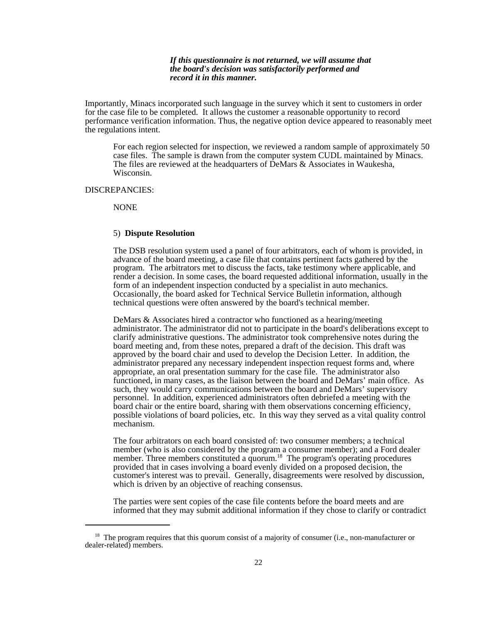#### *If this questionnaire is not returned, we will assume that the board's decision was satisfactorily performed and record it in this manner.*

Importantly, Minacs incorporated such language in the survey which it sent to customers in order for the case file to be completed. It allows the customer a reasonable opportunity to record performance verification information. Thus, the negative option device appeared to reasonably meet the regulations intent.

For each region selected for inspection, we reviewed a random sample of approximately 50 case files. The sample is drawn from the computer system CUDL maintained by Minacs. The files are reviewed at the headquarters of DeMars & Associates in Waukesha, Wisconsin.

#### DISCREPANCIES:

NONE

## 5) **Dispute Resolution**

The DSB resolution system used a panel of four arbitrators, each of whom is provided, in advance of the board meeting, a case file that contains pertinent facts gathered by the program. The arbitrators met to discuss the facts, take testimony where applicable, and render a decision. In some cases, the board requested additional information, usually in the form of an independent inspection conducted by a specialist in auto mechanics. Occasionally, the board asked for Technical Service Bulletin information, although technical questions were often answered by the board's technical member.

DeMars & Associates hired a contractor who functioned as a hearing/meeting administrator. The administrator did not to participate in the board's deliberations except to clarify administrative questions. The administrator took comprehensive notes during the board meeting and, from these notes, prepared a draft of the decision. This draft was approved by the board chair and used to develop the Decision Letter. In addition, the administrator prepared any necessary independent inspection request forms and, where appropriate, an oral presentation summary for the case file. The administrator also functioned, in many cases, as the liaison between the board and DeMars' main office. As such, they would carry communications between the board and DeMars' supervisory personnel. In addition, experienced administrators often debriefed a meeting with the board chair or the entire board, sharing with them observations concerning efficiency, possible violations of board policies, etc. In this way they served as a vital quality control mechanism.

The four arbitrators on each board consisted of: two consumer members; a technical member (who is also considered by the program a consumer member); and a Ford dealer member. Three members constituted a quorum.<sup>18</sup> The program's operating procedures provided that in cases involving a board evenly divided on a proposed decision, the customer's interest was to prevail. Generally, disagreements were resolved by discussion, which is driven by an objective of reaching consensus.

The parties were sent copies of the case file contents before the board meets and are informed that they may submit additional information if they chose to clarify or contradict

<sup>&</sup>lt;sup>18</sup> The program requires that this quorum consist of a majority of consumer (i.e., non-manufacturer or dealer-related) members.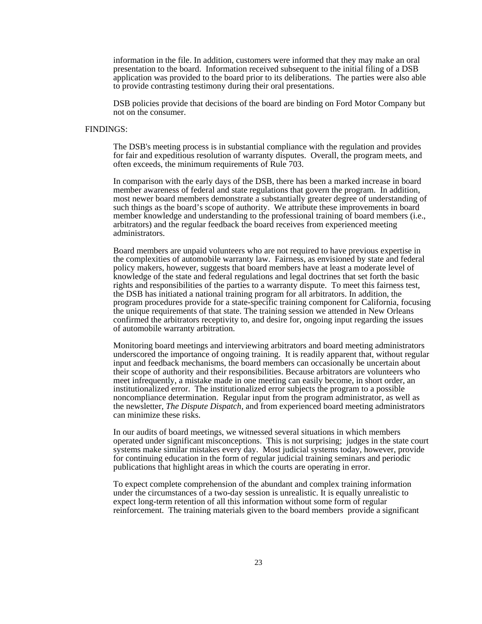information in the file. In addition, customers were informed that they may make an oral presentation to the board. Information received subsequent to the initial filing of a DSB application was provided to the board prior to its deliberations. The parties were also able to provide contrasting testimony during their oral presentations.

DSB policies provide that decisions of the board are binding on Ford Motor Company but not on the consumer.

#### FINDINGS:

The DSB's meeting process is in substantial compliance with the regulation and provides for fair and expeditious resolution of warranty disputes. Overall, the program meets, and often exceeds, the minimum requirements of Rule 703.

In comparison with the early days of the DSB, there has been a marked increase in board member awareness of federal and state regulations that govern the program. In addition, most newer board members demonstrate a substantially greater degree of understanding of such things as the board's scope of authority. We attribute these improvements in board member knowledge and understanding to the professional training of board members (i.e., arbitrators) and the regular feedback the board receives from experienced meeting administrators.

Board members are unpaid volunteers who are not required to have previous expertise in the complexities of automobile warranty law. Fairness, as envisioned by state and federal policy makers, however, suggests that board members have at least a moderate level of knowledge of the state and federal regulations and legal doctrines that set forth the basic rights and responsibilities of the parties to a warranty dispute. To meet this fairness test, the DSB has initiated a national training program for all arbitrators. In addition, the program procedures provide for a state-specific training component for California, focusing the unique requirements of that state. The training session we attended in New Orleans confirmed the arbitrators receptivity to, and desire for, ongoing input regarding the issues of automobile warranty arbitration.

Monitoring board meetings and interviewing arbitrators and board meeting administrators underscored the importance of ongoing training. It is readily apparent that, without regular input and feedback mechanisms, the board members can occasionally be uncertain about their scope of authority and their responsibilities. Because arbitrators are volunteers who meet infrequently, a mistake made in one meeting can easily become, in short order, an institutionalized error. The institutionalized error subjects the program to a possible noncompliance determination. Regular input from the program administrator, as well as the newsletter*, The Dispute Dispatch*, and from experienced board meeting administrators can minimize these risks.

In our audits of board meetings, we witnessed several situations in which members operated under significant misconceptions. This is not surprising; judges in the state court systems make similar mistakes every day. Most judicial systems today, however, provide for continuing education in the form of regular judicial training seminars and periodic publications that highlight areas in which the courts are operating in error.

To expect complete comprehension of the abundant and complex training information under the circumstances of a two-day session is unrealistic. It is equally unrealistic to expect long-term retention of all this information without some form of regular reinforcement. The training materials given to the board members provide a significant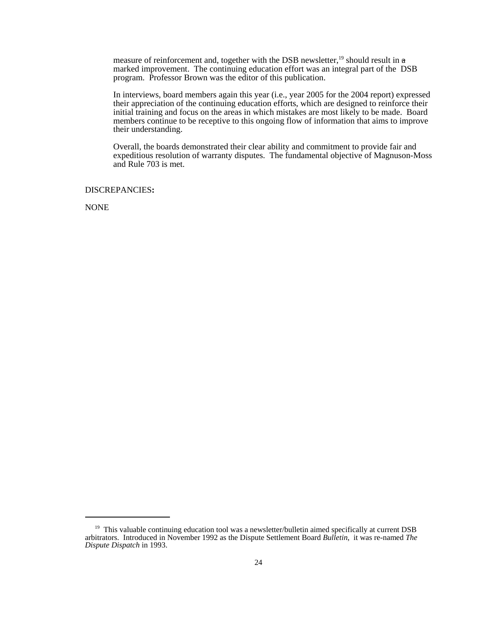measure of reinforcement and, together with the DSB newsletter,<sup>19</sup> should result in  $a$ marked improvement. The continuing education effort was an integral part of the DSB program. Professor Brown was the editor of this publication.

In interviews, board members again this year (i.e., year 2005 for the 2004 report) expressed their appreciation of the continuing education efforts, which are designed to reinforce their initial training and focus on the areas in which mistakes are most likely to be made. Board members continue to be receptive to this ongoing flow of information that aims to improve their understanding.

 Overall, the boards demonstrated their clear ability and commitment to provide fair and expeditious resolution of warranty disputes. The fundamental objective of Magnuson-Moss and Rule 703 is met.

DISCREPANCIES**:** 

NONE

<sup>&</sup>lt;sup>19</sup> This valuable continuing education tool was a newsletter/bulletin aimed specifically at current DSB arbitrators. Introduced in November 1992 as the Dispute Settlement Board *Bulletin*, it was re-named *The Dispute Dispatch* in 1993.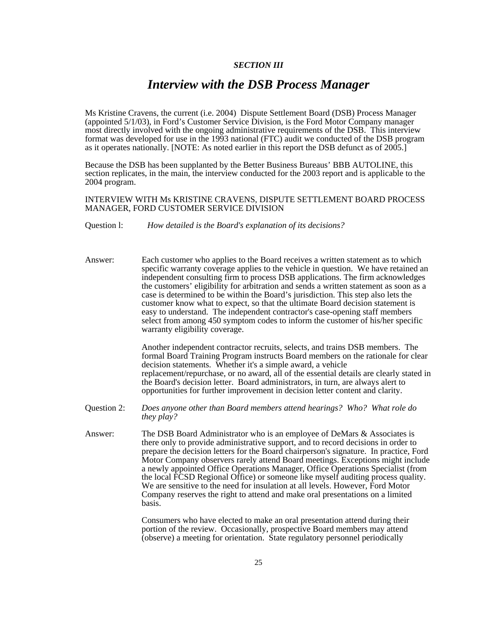# *SECTION III*

# *Interview with the DSB Process Manager*

Ms Kristine Cravens, the current (i.e. 2004) Dispute Settlement Board (DSB) Process Manager (appointed 5/1/03), in Ford's Customer Service Division, is the Ford Motor Company manager most directly involved with the ongoing administrative requirements of the DSB. This interview format was developed for use in the 1993 national (FTC) audit we conducted of the DSB program as it operates nationally. [NOTE: As noted earlier in this report the DSB defunct as of 2005.]

Because the DSB has been supplanted by the Better Business Bureaus' BBB AUTOLINE, this section replicates, in the main, the interview conducted for the 2003 report and is applicable to the 2004 program.

INTERVIEW WITH Ms KRISTINE CRAVENS, DISPUTE SETTLEMENT BOARD PROCESS MANAGER, FORD CUSTOMER SERVICE DIVISION

Question l: *How detailed is the Board's explanation of its decisions?*

Answer: Each customer who applies to the Board receives a written statement as to which specific warranty coverage applies to the vehicle in question. We have retained an independent consulting firm to process DSB applications. The firm acknowledges the customers' eligibility for arbitration and sends a written statement as soon as a case is determined to be within the Board's jurisdiction. This step also lets the customer know what to expect, so that the ultimate Board decision statement is easy to understand. The independent contractor's case-opening staff members select from among 450 symptom codes to inform the customer of his/her specific warranty eligibility coverage.

> Another independent contractor recruits, selects, and trains DSB members. The formal Board Training Program instructs Board members on the rationale for clear decision statements. Whether it's a simple award, a vehicle replacement/repurchase, or no award, all of the essential details are clearly stated in the Board's decision letter. Board administrators, in turn, are always alert to opportunities for further improvement in decision letter content and clarity.

- Question 2: *Does anyone other than Board members attend hearings? Who? What role do they play?*
- Answer: The DSB Board Administrator who is an employee of DeMars & Associates is there only to provide administrative support, and to record decisions in order to prepare the decision letters for the Board chairperson's signature. In practice, Ford Motor Company observers rarely attend Board meetings. Exceptions might include a newly appointed Office Operations Manager, Office Operations Specialist (from the local FCSD Regional Office) or someone like myself auditing process quality. We are sensitive to the need for insulation at all levels. However, Ford Motor Company reserves the right to attend and make oral presentations on a limited basis.

Consumers who have elected to make an oral presentation attend during their portion of the review. Occasionally, prospective Board members may attend (observe) a meeting for orientation. State regulatory personnel periodically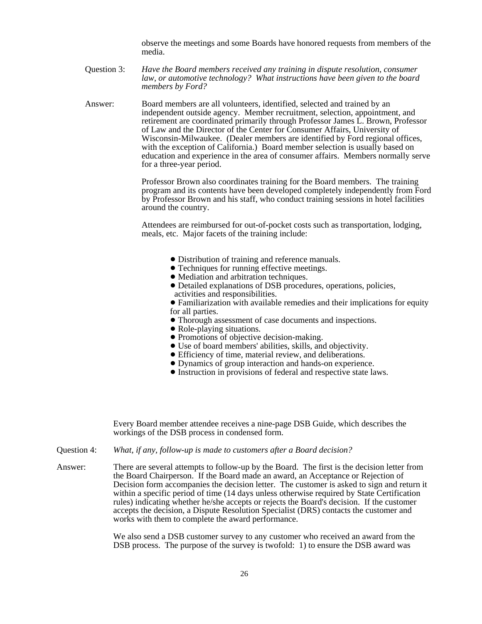observe the meetings and some Boards have honored requests from members of the media.

Question 3: *Have the Board members received any training in dispute resolution, consumer law, or automotive technology? What instructions have been given to the board members by Ford?*

Answer: Board members are all volunteers, identified, selected and trained by an independent outside agency. Member recruitment, selection, appointment, and retirement are coordinated primarily through Professor James L. Brown, Professor of Law and the Director of the Center for Consumer Affairs, University of Wisconsin-Milwaukee. (Dealer members are identified by Ford regional offices, with the exception of California.) Board member selection is usually based on education and experience in the area of consumer affairs. Members normally serve for a three-year period.

> Professor Brown also coordinates training for the Board members. The training program and its contents have been developed completely independently from Ford by Professor Brown and his staff, who conduct training sessions in hotel facilities around the country.

Attendees are reimbursed for out-of-pocket costs such as transportation, lodging, meals, etc. Major facets of the training include:

- ! Distribution of training and reference manuals.
- Techniques for running effective meetings.
- ! Mediation and arbitration techniques.
- ! Detailed explanations of DSB procedures, operations, policies, activities and responsibilities.

! Familiarization with available remedies and their implications for equity for all parties.

- Thorough assessment of case documents and inspections.
- Role-playing situations.
- ! Promotions of objective decision-making.
- ! Use of board members' abilities, skills, and objectivity.
- ! Efficiency of time, material review, and deliberations.
- ! Dynamics of group interaction and hands-on experience.
- ! Instruction in provisions of federal and respective state laws.

Every Board member attendee receives a nine-page DSB Guide, which describes the workings of the DSB process in condensed form.

- Question 4: *What, if any, follow-up is made to customers after a Board decision?*
- Answer: There are several attempts to follow-up by the Board. The first is the decision letter from the Board Chairperson. If the Board made an award, an Acceptance or Rejection of Decision form accompanies the decision letter. The customer is asked to sign and return it within a specific period of time (14 days unless otherwise required by State Certification rules) indicating whether he/she accepts or rejects the Board's decision. If the customer accepts the decision, a Dispute Resolution Specialist (DRS) contacts the customer and works with them to complete the award performance.

We also send a DSB customer survey to any customer who received an award from the DSB process. The purpose of the survey is twofold: 1) to ensure the DSB award was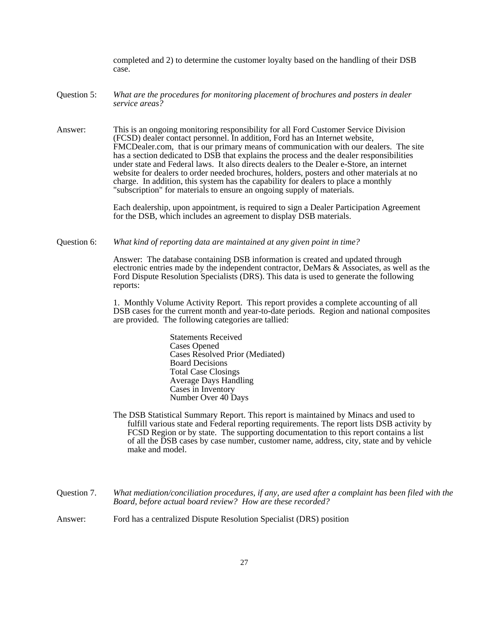completed and 2) to determine the customer loyalty based on the handling of their DSB case.

- Question 5: *What are the procedures for monitoring placement of brochures and posters in dealer service areas?*
- Answer: This is an ongoing monitoring responsibility for all Ford Customer Service Division (FCSD) dealer contact personnel. In addition, Ford has an Internet website, FMCDealer.com, that is our primary means of communication with our dealers. The site has a section dedicated to DSB that explains the process and the dealer responsibilities under state and Federal laws. It also directs dealers to the Dealer e-Store, an internet website for dealers to order needed brochures, holders, posters and other materials at no charge. In addition, this system has the capability for dealers to place a monthly "subscription" for materials to ensure an ongoing supply of materials.

Each dealership, upon appointment, is required to sign a Dealer Participation Agreement for the DSB, which includes an agreement to display DSB materials.

Question 6: *What kind of reporting data are maintained at any given point in time?*

Answer: The database containing DSB information is created and updated through electronic entries made by the independent contractor, DeMars & Associates, as well as the Ford Dispute Resolution Specialists (DRS). This data is used to generate the following reports:

1. Monthly Volume Activity Report. This report provides a complete accounting of all DSB cases for the current month and year-to-date periods. Region and national composites are provided. The following categories are tallied:

> Statements Received Cases Opened Cases Resolved Prior (Mediated) Board Decisions Total Case Closings Average Days Handling Cases in Inventory Number Over 40 Days

The DSB Statistical Summary Report. This report is maintained by Minacs and used to fulfill various state and Federal reporting requirements. The report lists DSB activity by FCSD Region or by state. The supporting documentation to this report contains a list of all the DSB cases by case number, customer name, address, city, state and by vehicle make and model.

Question 7. *What mediation/conciliation procedures, if any, are used after a complaint has been filed with the Board, before actual board review? How are these recorded?*

Answer: Ford has a centralized Dispute Resolution Specialist (DRS) position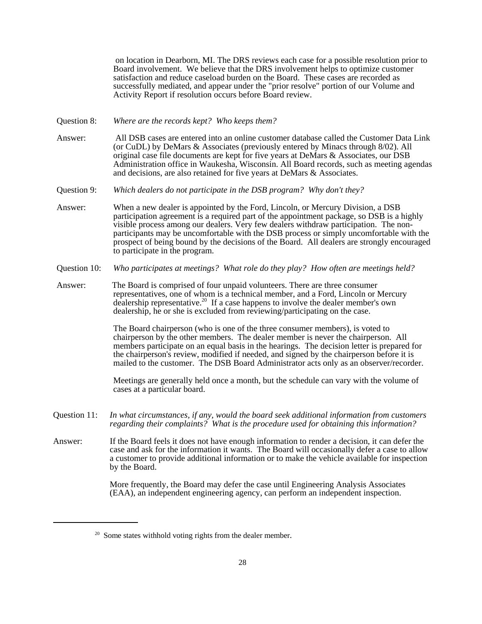on location in Dearborn, MI. The DRS reviews each case for a possible resolution prior to Board involvement. We believe that the DRS involvement helps to optimize customer satisfaction and reduce caseload burden on the Board. These cases are recorded as successfully mediated, and appear under the "prior resolve" portion of our Volume and Activity Report if resolution occurs before Board review.

- Question 8: *Where are the records kept? Who keeps them?*
- Answer: All DSB cases are entered into an online customer database called the Customer Data Link (or CuDL) by DeMars & Associates (previously entered by Minacs through 8/02). All original case file documents are kept for five years at DeMars & Associates, our DSB Administration office in Waukesha, Wisconsin. All Board records, such as meeting agendas and decisions, are also retained for five years at DeMars & Associates.
- Question 9: *Which dealers do not participate in the DSB program? Why don't they?*
- Answer: When a new dealer is appointed by the Ford, Lincoln, or Mercury Division, a DSB participation agreement is a required part of the appointment package, so DSB is a highly visible process among our dealers. Very few dealers withdraw participation. The nonparticipants may be uncomfortable with the DSB process or simply uncomfortable with the prospect of being bound by the decisions of the Board. All dealers are strongly encouraged to participate in the program.
- Question 10: *Who participates at meetings? What role do they play? How often are meetings held?*
- Answer: The Board is comprised of four unpaid volunteers. There are three consumer representatives, one of whom is a technical member, and a Ford, Lincoln or Mercury dealership representative.20 If a case happens to involve the dealer member's own dealership, he or she is excluded from reviewing/participating on the case.

The Board chairperson (who is one of the three consumer members), is voted to chairperson by the other members. The dealer member is never the chairperson. All members participate on an equal basis in the hearings. The decision letter is prepared for the chairperson's review, modified if needed, and signed by the chairperson before it is mailed to the customer. The DSB Board Administrator acts only as an observer/recorder.

Meetings are generally held once a month, but the schedule can vary with the volume of cases at a particular board.

- Question 11: *In what circumstances, if any, would the board seek additional information from customers regarding their complaints? What is the procedure used for obtaining this information?*
- Answer: If the Board feels it does not have enough information to render a decision, it can defer the case and ask for the information it wants. The Board will occasionally defer a case to allow a customer to provide additional information or to make the vehicle available for inspection by the Board.

More frequently, the Board may defer the case until Engineering Analysis Associates (EAA), an independent engineering agency, can perform an independent inspection.

 $20$  Some states withhold voting rights from the dealer member.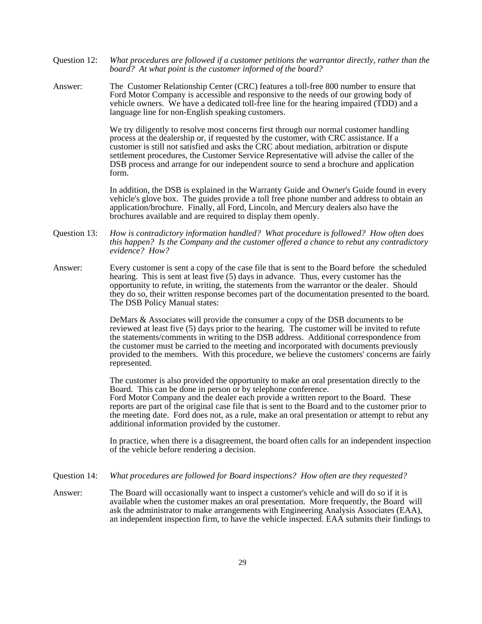- Question 12: *What procedures are followed if a customer petitions the warrantor directly, rather than the board? At what point is the customer informed of the board?*
- Answer: The Customer Relationship Center (CRC) features a toll-free 800 number to ensure that Ford Motor Company is accessible and responsive to the needs of our growing body of vehicle owners. We have a dedicated toll-free line for the hearing impaired (TDD) and a language line for non-English speaking customers.

We try diligently to resolve most concerns first through our normal customer handling process at the dealership or, if requested by the customer, with CRC assistance. If a customer is still not satisfied and asks the CRC about mediation, arbitration or dispute settlement procedures, the Customer Service Representative will advise the caller of the DSB process and arrange for our independent source to send a brochure and application form.

In addition, the DSB is explained in the Warranty Guide and Owner's Guide found in every vehicle's glove box. The guides provide a toll free phone number and address to obtain an application/brochure. Finally, all Ford, Lincoln, and Mercury dealers also have the brochures available and are required to display them openly.

- Question 13: *How is contradictory information handled? What procedure is followed? How often does this happen? Is the Company and the customer offered a chance to rebut any contradictory evidence? How?*
- Answer: Every customer is sent a copy of the case file that is sent to the Board before the scheduled hearing. This is sent at least five (5) days in advance. Thus, every customer has the opportunity to refute, in writing, the statements from the warrantor or the dealer. Should they do so, their written response becomes part of the documentation presented to the board. The DSB Policy Manual states:

DeMars & Associates will provide the consumer a copy of the DSB documents to be reviewed at least five (5) days prior to the hearing. The customer will be invited to refute the statements/comments in writing to the DSB address. Additional correspondence from the customer must be carried to the meeting and incorporated with documents previously provided to the members. With this procedure, we believe the customers' concerns are fairly represented.

The customer is also provided the opportunity to make an oral presentation directly to the Board. This can be done in person or by telephone conference. Ford Motor Company and the dealer each provide a written report to the Board. These reports are part of the original case file that is sent to the Board and to the customer prior to the meeting date. Ford does not, as a rule, make an oral presentation or attempt to rebut any additional information provided by the customer.

In practice, when there is a disagreement, the board often calls for an independent inspection of the vehicle before rendering a decision.

- Question 14: *What procedures are followed for Board inspections? How often are they requested?*
- Answer: The Board will occasionally want to inspect a customer's vehicle and will do so if it is available when the customer makes an oral presentation. More frequently, the Board will ask the administrator to make arrangements with Engineering Analysis Associates (EAA), an independent inspection firm, to have the vehicle inspected. EAA submits their findings to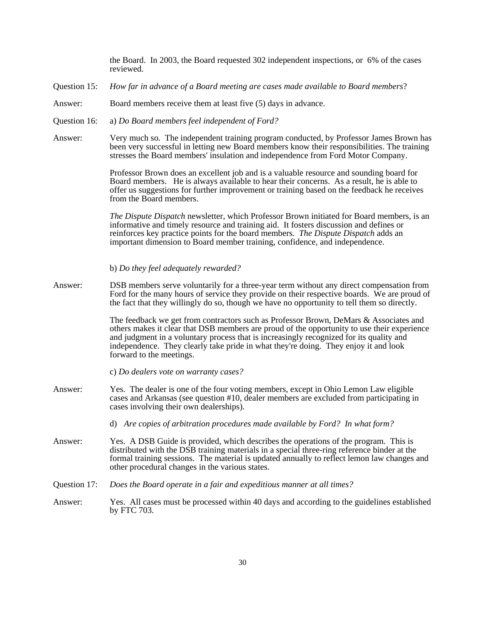the Board. In 2003, the Board requested 302 independent inspections, or 6% of the cases reviewed.

- Question 15: *How far in advance of a Board meeting are cases made available to Board members*?
- Answer: Board members receive them at least five (5) days in advance.
- Question 16: a) *Do Board members feel independent of Ford?*
- Answer: Very much so. The independent training program conducted, by Professor James Brown has been very successful in letting new Board members know their responsibilities. The training stresses the Board members' insulation and independence from Ford Motor Company.

Professor Brown does an excellent job and is a valuable resource and sounding board for Board members. He is always available to hear their concerns. As a result, he is able to offer us suggestions for further improvement or training based on the feedback he receives from the Board members.

*The Dispute Dispatch* newsletter, which Professor Brown initiated for Board members, is an informative and timely resource and training aid. It fosters discussion and defines or reinforces key practice points for the board members. *The Dispute Dispatch* adds an important dimension to Board member training, confidence, and independence.

- b) *Do they feel adequately rewarded?*
- Answer: DSB members serve voluntarily for a three-year term without any direct compensation from Ford for the many hours of service they provide on their respective boards. We are proud of the fact that they willingly do so, though we have no opportunity to tell them so directly.

The feedback we get from contractors such as Professor Brown, DeMars & Associates and others makes it clear that DSB members are proud of the opportunity to use their experience and judgment in a voluntary process that is increasingly recognized for its quality and independence. They clearly take pride in what they're doing. They enjoy it and look forward to the meetings.

- c) *Do dealers vote on warranty cases?*
- Answer: Yes. The dealer is one of the four voting members, except in Ohio Lemon Law eligible cases and Arkansas (see question #10, dealer members are excluded from participating in cases involving their own dealerships).
	- d) *Are copies of arbitration procedures made available by Ford? In what form?*
- Answer: Yes. A DSB Guide is provided, which describes the operations of the program. This is distributed with the DSB training materials in a special three-ring reference binder at the formal training sessions. The material is updated annually to reflect lemon law changes and other procedural changes in the various states.
- Question 17: *Does the Board operate in a fair and expeditious manner at all times?*
- Answer: Yes. All cases must be processed within 40 days and according to the guidelines established by FTC 703.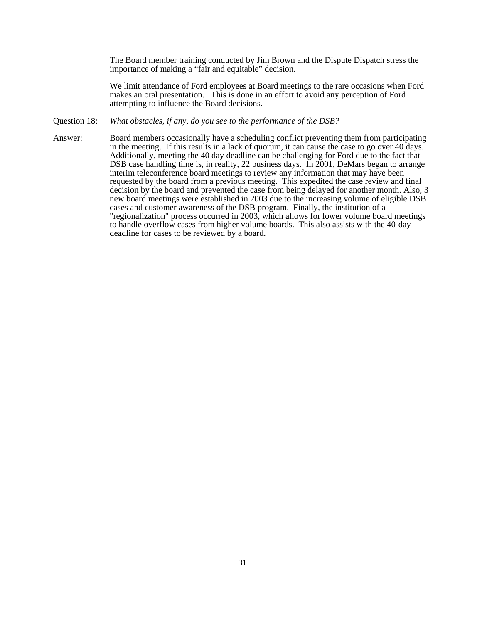The Board member training conducted by Jim Brown and the Dispute Dispatch stress the importance of making a "fair and equitable" decision.

We limit attendance of Ford employees at Board meetings to the rare occasions when Ford makes an oral presentation. This is done in an effort to avoid any perception of Ford attempting to influence the Board decisions.

#### Question 18: *What obstacles, if any, do you see to the performance of the DSB?*

Answer: Board members occasionally have a scheduling conflict preventing them from participating in the meeting. If this results in a lack of quorum, it can cause the case to go over 40 days. Additionally, meeting the 40 day deadline can be challenging for Ford due to the fact that DSB case handling time is, in reality, 22 business days. In 2001, DeMars began to arrange interim teleconference board meetings to review any information that may have been requested by the board from a previous meeting. This expedited the case review and final decision by the board and prevented the case from being delayed for another month. Also, 3 new board meetings were established in 2003 due to the increasing volume of eligible DSB cases and customer awareness of the DSB program. Finally, the institution of a "regionalization" process occurred in 2003, which allows for lower volume board meetings to handle overflow cases from higher volume boards. This also assists with the 40-day deadline for cases to be reviewed by a board.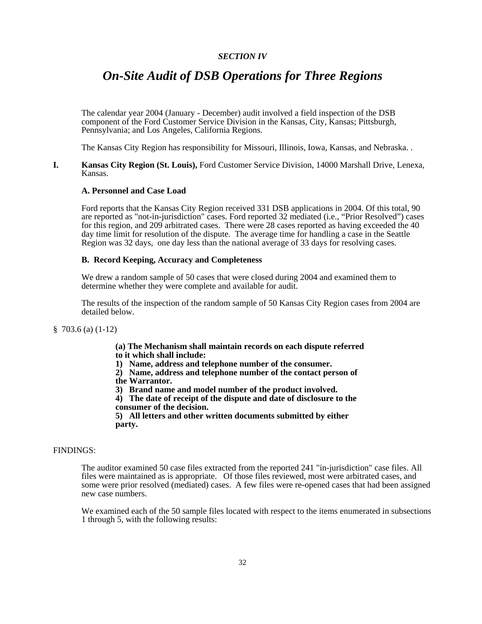# *SECTION IV*

# *On-Site Audit of DSB Operations for Three Regions*

The calendar year 2004 (January - December) audit involved a field inspection of the DSB component of the Ford Customer Service Division in the Kansas, City, Kansas; Pittsburgh, Pennsylvania; and Los Angeles, California Regions.

The Kansas City Region has responsibility for Missouri, Illinois, Iowa, Kansas, and Nebraska. .

#### **I. Kansas City Region (St. Louis),** Ford Customer Service Division, 14000 Marshall Drive, Lenexa, Kansas.

#### **A. Personnel and Case Load**

Ford reports that the Kansas City Region received 331 DSB applications in 2004. Of this total, 90 are reported as "not-in-jurisdiction" cases. Ford reported 32 mediated (i.e., "Prior Resolved") cases for this region, and 209 arbitrated cases. There were 28 cases reported as having exceeded the 40 day time limit for resolution of the dispute. The average time for handling a case in the Seattle Region was 32 days, one day less than the national average of 33 days for resolving cases.

#### **B. Record Keeping, Accuracy and Completeness**

We drew a random sample of 50 cases that were closed during 2004 and examined them to determine whether they were complete and available for audit.

The results of the inspection of the random sample of 50 Kansas City Region cases from 2004 are detailed below.

§ 703.6 (a) (1-12)

**(a) The Mechanism shall maintain records on each dispute referred to it which shall include:**

**1) Name, address and telephone number of the consumer.**

**2) Name, address and telephone number of the contact person of the Warrantor.**

**3) Brand name and model number of the product involved.**

**4) The date of receipt of the dispute and date of disclosure to the consumer of the decision.**

**5) All letters and other written documents submitted by either party.**

# FINDINGS:

The auditor examined 50 case files extracted from the reported 241 "in-jurisdiction" case files. All files were maintained as is appropriate. Of those files reviewed, most were arbitrated cases, and some were prior resolved (mediated) cases. A few files were re-opened cases that had been assigned new case numbers.

We examined each of the 50 sample files located with respect to the items enumerated in subsections 1 through 5, with the following results: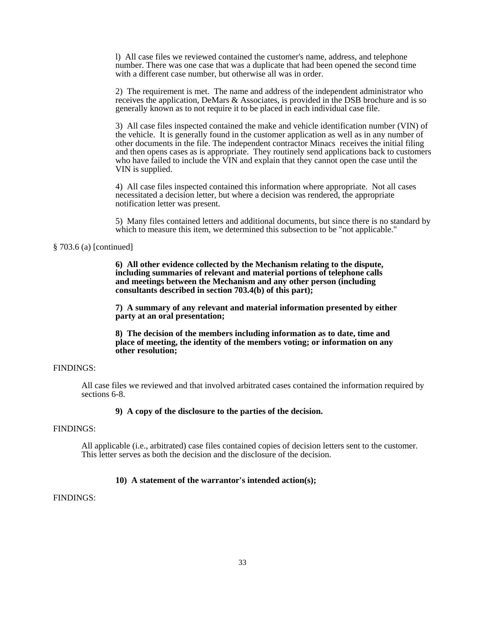l) All case files we reviewed contained the customer's name, address, and telephone number. There was one case that was a duplicate that had been opened the second time with a different case number, but otherwise all was in order.

2) The requirement is met. The name and address of the independent administrator who receives the application, DeMars & Associates, is provided in the DSB brochure and is so generally known as to not require it to be placed in each individual case file.

3) All case files inspected contained the make and vehicle identification number (VIN) of the vehicle. It is generally found in the customer application as well as in any number of other documents in the file. The independent contractor Minacs receives the initial filing and then opens cases as is appropriate. They routinely send applications back to customers who have failed to include the VIN and explain that they cannot open the case until the VIN is supplied.

4) All case files inspected contained this information where appropriate. Not all cases necessitated a decision letter, but where a decision was rendered, the appropriate notification letter was present.

5) Many files contained letters and additional documents, but since there is no standard by which to measure this item, we determined this subsection to be "not applicable."

§ 703.6 (a) [continued]

**6) All other evidence collected by the Mechanism relating to the dispute, including summaries of relevant and material portions of telephone calls and meetings between the Mechanism and any other person (including consultants described in section 703.4(b) of this part);**

**7) A summary of any relevant and material information presented by either party at an oral presentation;**

**8) The decision of the members including information as to date, time and place of meeting, the identity of the members voting; or information on any other resolution;**

# FINDINGS:

All case files we reviewed and that involved arbitrated cases contained the information required by sections 6-8.

# **9) A copy of the disclosure to the parties of the decision.**

#### FINDINGS:

All applicable (i.e., arbitrated) case files contained copies of decision letters sent to the customer. This letter serves as both the decision and the disclosure of the decision.

#### **10) A statement of the warrantor's intended action(s);**

# FINDINGS: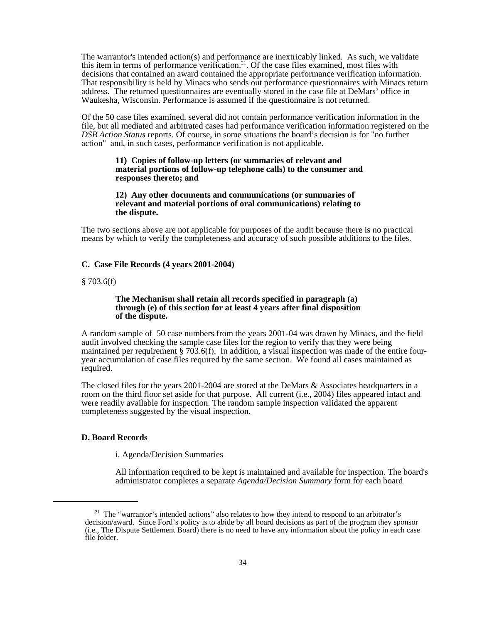The warrantor's intended action(s) and performance are inextricably linked. As such, we validate this item in terms of performance verification.<sup>21</sup>. Of the case files examined, most files with decisions that contained an award contained the appropriate performance verification information. That responsibility is held by Minacs who sends out performance questionnaires with Minacs return address. The returned questionnaires are eventually stored in the case file at DeMars' office in Waukesha, Wisconsin. Performance is assumed if the questionnaire is not returned.

Of the 50 case files examined, several did not contain performance verification information in the file, but all mediated and arbitrated cases had performance verification information registered on the *DSB Action Status* reports. Of course, in some situations the board's decision is for "no further action" and, in such cases, performance verification is not applicable.

#### **11) Copies of follow-up letters (or summaries of relevant and material portions of follow-up telephone calls) to the consumer and responses thereto; and**

#### **12) Any other documents and communications (or summaries of relevant and material portions of oral communications) relating to the dispute.**

The two sections above are not applicable for purposes of the audit because there is no practical means by which to verify the completeness and accuracy of such possible additions to the files.

#### **C. Case File Records (4 years 2001-2004)**

#### § 703.6(f)

#### **The Mechanism shall retain all records specified in paragraph (a) through (e) of this section for at least 4 years after final disposition of the dispute.**

A random sample of 50 case numbers from the years 2001-04 was drawn by Minacs, and the field audit involved checking the sample case files for the region to verify that they were being maintained per requirement § 703.6(f). In addition, a visual inspection was made of the entire fouryear accumulation of case files required by the same section. We found all cases maintained as required.

The closed files for the years 2001-2004 are stored at the DeMars & Associates headquarters in a room on the third floor set aside for that purpose. All current (i.e., 2004) files appeared intact and were readily available for inspection. The random sample inspection validated the apparent completeness suggested by the visual inspection.

#### **D. Board Records**

#### i. Agenda/Decision Summaries

All information required to be kept is maintained and available for inspection. The board's administrator completes a separate *Agenda/Decision Summary* form for each board

<sup>&</sup>lt;sup>21</sup> The "warrantor's intended actions" also relates to how they intend to respond to an arbitrator's decision/award. Since Ford's policy is to abide by all board decisions as part of the program they sponsor (i.e., The Dispute Settlement Board) there is no need to have any information about the policy in each case file folder.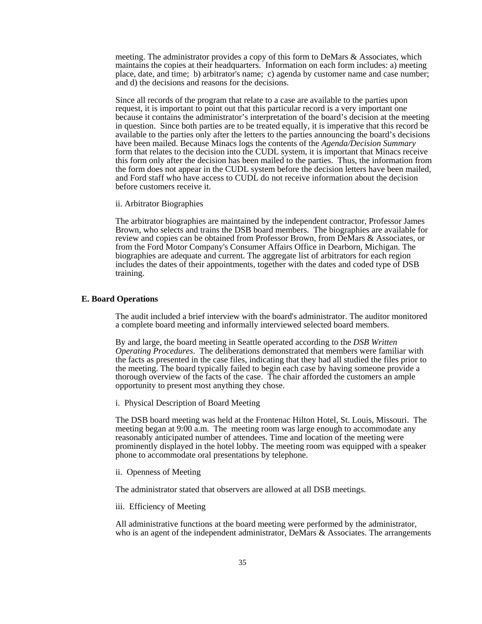meeting. The administrator provides a copy of this form to DeMars & Associates, which maintains the copies at their headquarters. Information on each form includes: a) meeting place, date, and time; b) arbitrator's name; c) agenda by customer name and case number; and d) the decisions and reasons for the decisions.

Since all records of the program that relate to a case are available to the parties upon request, it is important to point out that this particular record is a very important one because it contains the administrator's interpretation of the board's decision at the meeting in question. Since both parties are to be treated equally, it is imperative that this record be available to the parties only after the letters to the parties announcing the board's decisions have been mailed. Because Minacs logs the contents of the *Agenda/Decision Summary* form that relates to the decision into the CUDL system, it is important that Minacs receive this form only after the decision has been mailed to the parties. Thus, the information from the form does not appear in the CUDL system before the decision letters have been mailed, and Ford staff who have access to CUDL do not receive information about the decision before customers receive it.

ii. Arbitrator Biographies

The arbitrator biographies are maintained by the independent contractor, Professor James Brown, who selects and trains the DSB board members. The biographies are available for review and copies can be obtained from Professor Brown, from DeMars & Associates, or from the Ford Motor Company's Consumer Affairs Office in Dearborn, Michigan. The biographies are adequate and current. The aggregate list of arbitrators for each region includes the dates of their appointments, together with the dates and coded type of DSB training.

#### **E. Board Operations**

The audit included a brief interview with the board's administrator. The auditor monitored a complete board meeting and informally interviewed selected board members.

By and large, the board meeting in Seattle operated according to the *DSB Written Operating Procedures*. The deliberations demonstrated that members were familiar with the facts as presented in the case files, indicating that they had all studied the files prior to the meeting. The board typically failed to begin each case by having someone provide a thorough overview of the facts of the case. The chair afforded the customers an ample opportunity to present most anything they chose.

i. Physical Description of Board Meeting

The DSB board meeting was held at the Frontenac Hilton Hotel, St. Louis, Missouri. The meeting began at 9:00 a.m. The meeting room was large enough to accommodate any reasonably anticipated number of attendees. Time and location of the meeting were prominently displayed in the hotel lobby. The meeting room was equipped with a speaker phone to accommodate oral presentations by telephone.

ii. Openness of Meeting

The administrator stated that observers are allowed at all DSB meetings.

iii. Efficiency of Meeting

All administrative functions at the board meeting were performed by the administrator, who is an agent of the independent administrator, DeMars & Associates. The arrangements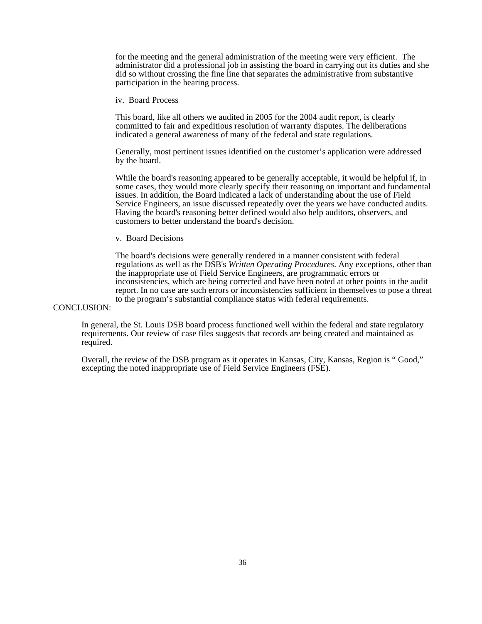for the meeting and the general administration of the meeting were very efficient. The administrator did a professional job in assisting the board in carrying out its duties and she did so without crossing the fine line that separates the administrative from substantive participation in the hearing process.

iv. Board Process

This board, like all others we audited in 2005 for the 2004 audit report, is clearly committed to fair and expeditious resolution of warranty disputes. The deliberations indicated a general awareness of many of the federal and state regulations.

Generally, most pertinent issues identified on the customer's application were addressed by the board.

While the board's reasoning appeared to be generally acceptable, it would be helpful if, in some cases, they would more clearly specify their reasoning on important and fundamental issues. In addition, the Board indicated a lack of understanding about the use of Field Service Engineers, an issue discussed repeatedly over the years we have conducted audits. Having the board's reasoning better defined would also help auditors, observers, and customers to better understand the board's decision.

#### v. Board Decisions

The board's decisions were generally rendered in a manner consistent with federal regulations as well as the DSB's *Written Operating Procedures*. Any exceptions, other than the inappropriate use of Field Service Engineers, are programmatic errors or inconsistencies, which are being corrected and have been noted at other points in the audit report. In no case are such errors or inconsistencies sufficient in themselves to pose a threat to the program's substantial compliance status with federal requirements.

# CONCLUSION:

In general, the St. Louis DSB board process functioned well within the federal and state regulatory requirements. Our review of case files suggests that records are being created and maintained as required.

Overall, the review of the DSB program as it operates in Kansas, City, Kansas, Region is " Good," excepting the noted inappropriate use of Field Service Engineers (FSE).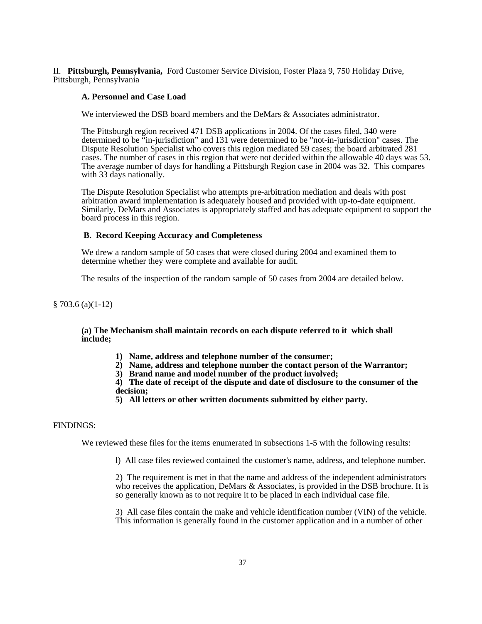II. **Pittsburgh, Pennsylvania,** Ford Customer Service Division, Foster Plaza 9, 750 Holiday Drive, Pittsburgh, Pennsylvania

#### **A. Personnel and Case Load**

We interviewed the DSB board members and the DeMars & Associates administrator.

The Pittsburgh region received 471 DSB applications in 2004. Of the cases filed, 340 were determined to be "in-jurisdiction" and 131 were determined to be "not-in-jurisdiction" cases. The Dispute Resolution Specialist who covers this region mediated 59 cases; the board arbitrated 281 cases. The number of cases in this region that were not decided within the allowable 40 days was 53. The average number of days for handling a Pittsburgh Region case in 2004 was 32. This compares with 33 days nationally.

The Dispute Resolution Specialist who attempts pre-arbitration mediation and deals with post arbitration award implementation is adequately housed and provided with up-to-date equipment. Similarly, DeMars and Associates is appropriately staffed and has adequate equipment to support the board process in this region.

#### **B. Record Keeping Accuracy and Completeness**

We drew a random sample of 50 cases that were closed during 2004 and examined them to determine whether they were complete and available for audit.

The results of the inspection of the random sample of 50 cases from 2004 are detailed below.

§ 703.6 (a)(1-12)

#### **(a) The Mechanism shall maintain records on each dispute referred to it which shall include;**

- **1) Name, address and telephone number of the consumer;**
- **2) Name, address and telephone number the contact person of the Warrantor;**
- **3) Brand name and model number of the product involved;**

**4) The date of receipt of the dispute and date of disclosure to the consumer of the decision;**

**5) All letters or other written documents submitted by either party.**

#### FINDINGS:

We reviewed these files for the items enumerated in subsections 1-5 with the following results:

l) All case files reviewed contained the customer's name, address, and telephone number.

2) The requirement is met in that the name and address of the independent administrators who receives the application, DeMars  $\&$  Associates, is provided in the DSB brochure. It is so generally known as to not require it to be placed in each individual case file.

3) All case files contain the make and vehicle identification number (VIN) of the vehicle. This information is generally found in the customer application and in a number of other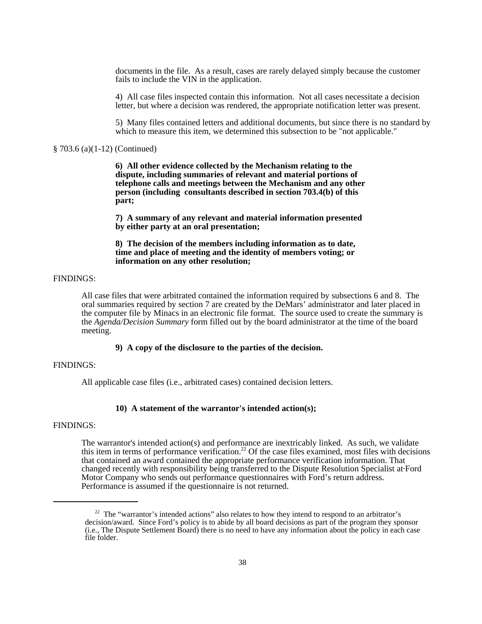documents in the file. As a result, cases are rarely delayed simply because the customer fails to include the VIN in the application.

4) All case files inspected contain this information. Not all cases necessitate a decision letter, but where a decision was rendered, the appropriate notification letter was present.

5) Many files contained letters and additional documents, but since there is no standard by which to measure this item, we determined this subsection to be "not applicable."

## § 703.6 (a)(1-12) (Continued)

**6) All other evidence collected by the Mechanism relating to the dispute, including summaries of relevant and material portions of telephone calls and meetings between the Mechanism and any other person (including consultants described in section 703.4(b) of this part;**

**7) A summary of any relevant and material information presented by either party at an oral presentation;**

**8) The decision of the members including information as to date, time and place of meeting and the identity of members voting; or information on any other resolution;**

# FINDINGS:

All case files that were arbitrated contained the information required by subsections 6 and 8. The oral summaries required by section 7 are created by the DeMars' administrator and later placed in the computer file by Minacs in an electronic file format. The source used to create the summary is the *Agenda/Decision Summary* form filled out by the board administrator at the time of the board meeting.

#### **9) A copy of the disclosure to the parties of the decision.**

# FINDINGS:

All applicable case files (i.e., arbitrated cases) contained decision letters.

### **10) A statement of the warrantor's intended action(s);**

#### FINDINGS:

The warrantor's intended action(s) and performance are inextricably linked. As such, we validate this item in terms of performance verification.<sup>22</sup> Of the case files examined, most files with decisions that contained an award contained the appropriate performance verification information. That changed recently with responsibility being transferred to the Dispute Resolution Specialist at Ford Motor Company who sends out performance questionnaires with Ford's return address. Performance is assumed if the questionnaire is not returned.

<sup>&</sup>lt;sup>22</sup> The "warrantor's intended actions" also relates to how they intend to respond to an arbitrator's decision/award. Since Ford's policy is to abide by all board decisions as part of the program they sponsor (i.e., The Dispute Settlement Board) there is no need to have any information about the policy in each case file folder.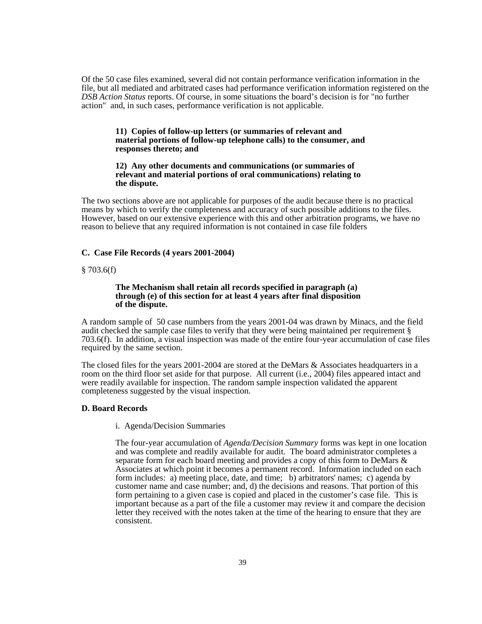Of the 50 case files examined, several did not contain performance verification information in the file, but all mediated and arbitrated cases had performance verification information registered on the *DSB Action Status* reports. Of course, in some situations the board's decision is for "no further action" and, in such cases, performance verification is not applicable.

#### **11) Copies of follow-up letters (or summaries of relevant and material portions of follow-up telephone calls) to the consumer, and responses thereto; and**

#### **12) Any other documents and communications (or summaries of relevant and material portions of oral communications) relating to the dispute.**

The two sections above are not applicable for purposes of the audit because there is no practical means by which to verify the completeness and accuracy of such possible additions to the files. However, based on our extensive experience with this and other arbitration programs, we have no reason to believe that any required information is not contained in case file folders

#### **C. Case File Records (4 years 2001-2004)**

#### $§ 703.6(f)$

#### **The Mechanism shall retain all records specified in paragraph (a) through (e) of this section for at least 4 years after final disposition of the dispute.**

A random sample of 50 case numbers from the years 2001-04 was drawn by Minacs, and the field audit checked the sample case files to verify that they were being maintained per requirement § 703.6(f). In addition, a visual inspection was made of the entire four-year accumulation of case files required by the same section.

The closed files for the years 2001-2004 are stored at the DeMars & Associates headquarters in a room on the third floor set aside for that purpose. All current (i.e., 2004) files appeared intact and were readily available for inspection. The random sample inspection validated the apparent completeness suggested by the visual inspection.

#### **D. Board Records**

i. Agenda/Decision Summaries

The four-year accumulation of *Agenda/Decision Summary* forms was kept in one location and was complete and readily available for audit. The board administrator completes a separate form for each board meeting and provides a copy of this form to DeMars & Associates at which point it becomes a permanent record. Information included on each form includes: a) meeting place, date, and time; b) arbitrators' names; c) agenda by customer name and case number; and, d) the decisions and reasons. That portion of this form pertaining to a given case is copied and placed in the customer's case file. This is important because as a part of the file a customer may review it and compare the decision letter they received with the notes taken at the time of the hearing to ensure that they are consistent.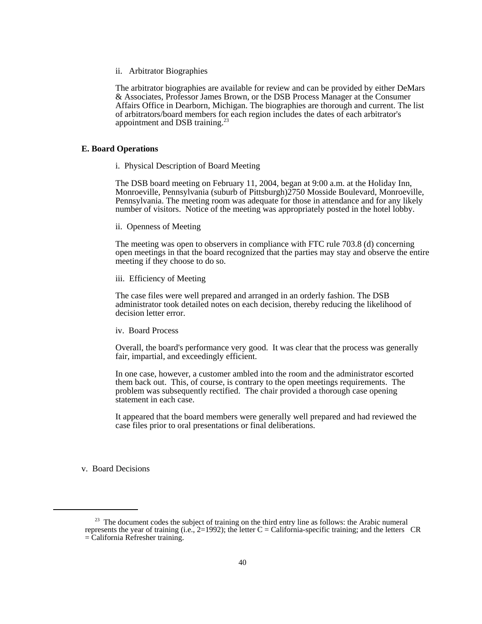#### ii. Arbitrator Biographies

The arbitrator biographies are available for review and can be provided by either DeMars & Associates, Professor James Brown, or the DSB Process Manager at the Consumer Affairs Office in Dearborn, Michigan. The biographies are thorough and current. The list of arbitrators/board members for each region includes the dates of each arbitrator's appointment and DSB training. $^{23}$ 

#### **E. Board Operations**

i. Physical Description of Board Meeting

The DSB board meeting on February 11, 2004, began at 9:00 a.m. at the Holiday Inn, Monroeville, Pennsylvania (suburb of Pittsburgh)2750 Mosside Boulevard, Monroeville, Pennsylvania. The meeting room was adequate for those in attendance and for any likely number of visitors. Notice of the meeting was appropriately posted in the hotel lobby.

ii. Openness of Meeting

The meeting was open to observers in compliance with FTC rule 703.8 (d) concerning open meetings in that the board recognized that the parties may stay and observe the entire meeting if they choose to do so.

#### iii. Efficiency of Meeting

The case files were well prepared and arranged in an orderly fashion. The DSB administrator took detailed notes on each decision, thereby reducing the likelihood of decision letter error.

iv. Board Process

Overall, the board's performance very good. It was clear that the process was generally fair, impartial, and exceedingly efficient.

In one case, however, a customer ambled into the room and the administrator escorted them back out. This, of course, is contrary to the open meetings requirements. The problem was subsequently rectified. The chair provided a thorough case opening statement in each case.

It appeared that the board members were generally well prepared and had reviewed the case files prior to oral presentations or final deliberations.

v. Board Decisions

 $23$  The document codes the subject of training on the third entry line as follows: the Arabic numeral represents the year of training (i.e.,  $2=1992$ ); the letter C = California-specific training; and the letters CR = California Refresher training.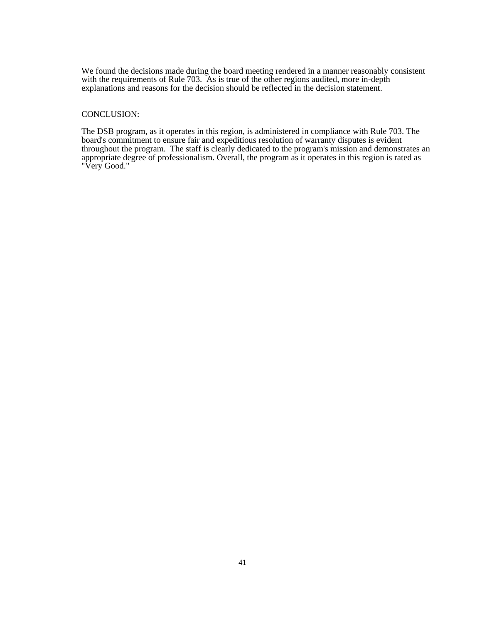We found the decisions made during the board meeting rendered in a manner reasonably consistent with the requirements of Rule 703. As is true of the other regions audited, more in-depth explanations and reasons for the decision should be reflected in the decision statement.

#### CONCLUSION:

The DSB program, as it operates in this region, is administered in compliance with Rule 703. The board's commitment to ensure fair and expeditious resolution of warranty disputes is evident throughout the program. The staff is clearly dedicated to the program's mission and demonstrates an appropriate degree of professionalism. Overall, the program as it operates in this region is rated as "Very Good."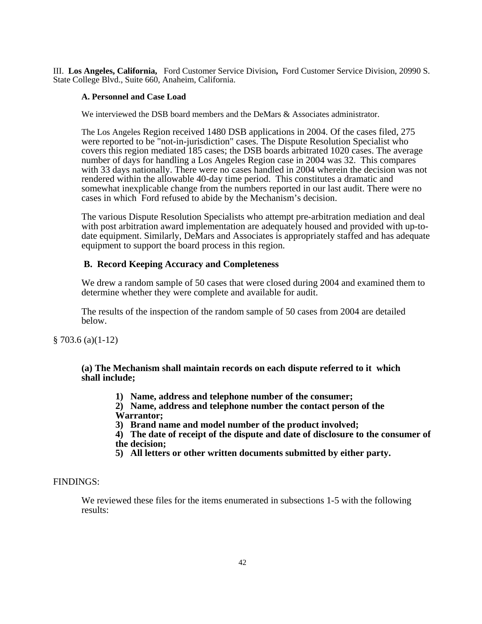III. **Los Angeles, California,** Ford Customer Service Division**,** Ford Customer Service Division, 20990 S. State College Blvd., Suite 660, Anaheim, California.

# **A. Personnel and Case Load**

We interviewed the DSB board members and the DeMars & Associates administrator.

The Los Angeles Region received 1480 DSB applications in 2004. Of the cases filed, 275 were reported to be "not-in-jurisdiction" cases. The Dispute Resolution Specialist who covers this region mediated 185 cases; the DSB boards arbitrated 1020 cases. The average number of days for handling a Los Angeles Region case in 2004 was 32. This compares with 33 days nationally. There were no cases handled in 2004 wherein the decision was not rendered within the allowable 40-day time period. This constitutes a dramatic and somewhat inexplicable change from the numbers reported in our last audit. There were no cases in which Ford refused to abide by the Mechanism's decision.

The various Dispute Resolution Specialists who attempt pre-arbitration mediation and deal with post arbitration award implementation are adequately housed and provided with up-todate equipment. Similarly, DeMars and Associates is appropriately staffed and has adequate equipment to support the board process in this region.

# **B. Record Keeping Accuracy and Completeness**

We drew a random sample of 50 cases that were closed during 2004 and examined them to determine whether they were complete and available for audit.

The results of the inspection of the random sample of 50 cases from 2004 are detailed below.

§ 703.6 (a)(1-12)

**(a) The Mechanism shall maintain records on each dispute referred to it which shall include;**

- **1) Name, address and telephone number of the consumer;**
- **2) Name, address and telephone number the contact person of the Warrantor;**
- **3) Brand name and model number of the product involved;**
- **4) The date of receipt of the dispute and date of disclosure to the consumer of the decision;**
- **5) All letters or other written documents submitted by either party.**

# FINDINGS:

We reviewed these files for the items enumerated in subsections 1-5 with the following results: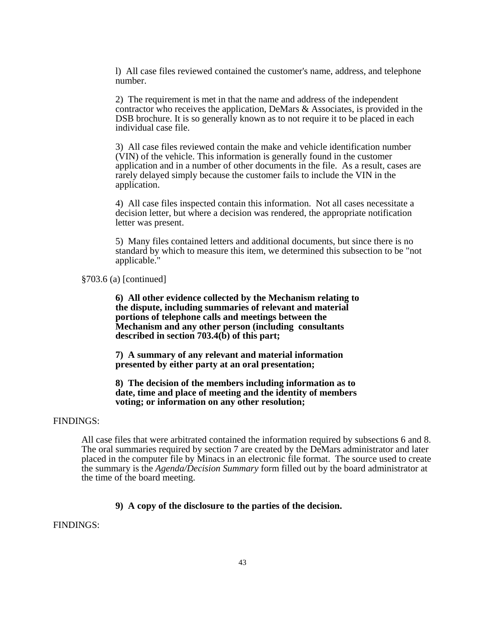l) All case files reviewed contained the customer's name, address, and telephone number.

2) The requirement is met in that the name and address of the independent contractor who receives the application, DeMars & Associates, is provided in the DSB brochure. It is so generally known as to not require it to be placed in each individual case file.

3) All case files reviewed contain the make and vehicle identification number (VIN) of the vehicle. This information is generally found in the customer application and in a number of other documents in the file. As a result, cases are rarely delayed simply because the customer fails to include the VIN in the application.

4) All case files inspected contain this information. Not all cases necessitate a decision letter, but where a decision was rendered, the appropriate notification letter was present.

5) Many files contained letters and additional documents, but since there is no standard by which to measure this item, we determined this subsection to be "not applicable."

§703.6 (a) [continued]

**6) All other evidence collected by the Mechanism relating to the dispute, including summaries of relevant and material portions of telephone calls and meetings between the Mechanism and any other person (including consultants described in section 703.4(b) of this part;**

**7) A summary of any relevant and material information presented by either party at an oral presentation;**

**8) The decision of the members including information as to date, time and place of meeting and the identity of members voting; or information on any other resolution;**

# FINDINGS:

All case files that were arbitrated contained the information required by subsections 6 and 8. The oral summaries required by section 7 are created by the DeMars administrator and later placed in the computer file by Minacs in an electronic file format. The source used to create the summary is the *Agenda/Decision Summary* form filled out by the board administrator at the time of the board meeting.

# **9) A copy of the disclosure to the parties of the decision.**

FINDINGS: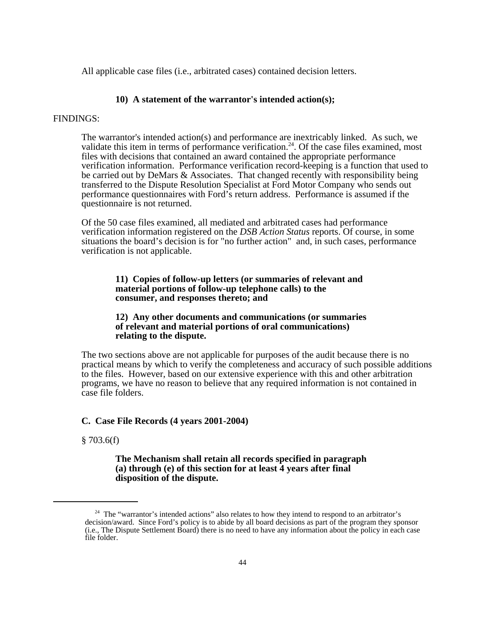All applicable case files (i.e., arbitrated cases) contained decision letters.

# **10) A statement of the warrantor's intended action(s);**

# FINDINGS:

The warrantor's intended action(s) and performance are inextricably linked. As such, we validate this item in terms of performance verification.<sup>24</sup>. Of the case files examined, most files with decisions that contained an award contained the appropriate performance verification information. Performance verification record-keeping is a function that used to be carried out by DeMars & Associates. That changed recently with responsibility being transferred to the Dispute Resolution Specialist at Ford Motor Company who sends out performance questionnaires with Ford's return address. Performance is assumed if the questionnaire is not returned.

Of the 50 case files examined, all mediated and arbitrated cases had performance verification information registered on the *DSB Action Status* reports. Of course, in some situations the board's decision is for "no further action" and, in such cases, performance verification is not applicable.

# **11) Copies of follow-up letters (or summaries of relevant and material portions of follow-up telephone calls) to the consumer, and responses thereto; and**

# **12) Any other documents and communications (or summaries of relevant and material portions of oral communications) relating to the dispute.**

The two sections above are not applicable for purposes of the audit because there is no practical means by which to verify the completeness and accuracy of such possible additions to the files.However, based on our extensive experience with this and other arbitration programs, we have no reason to believe that any required information is not contained in case file folders.

# **C. Case File Records (4 years 2001-2004)**

# $§ 703.6(f)$

# **The Mechanism shall retain all records specified in paragraph (a) through (e) of this section for at least 4 years after final disposition of the dispute.**

<sup>&</sup>lt;sup>24</sup> The "warrantor's intended actions" also relates to how they intend to respond to an arbitrator's decision/award. Since Ford's policy is to abide by all board decisions as part of the program they sponsor (i.e., The Dispute Settlement Board) there is no need to have any information about the policy in each case file folder.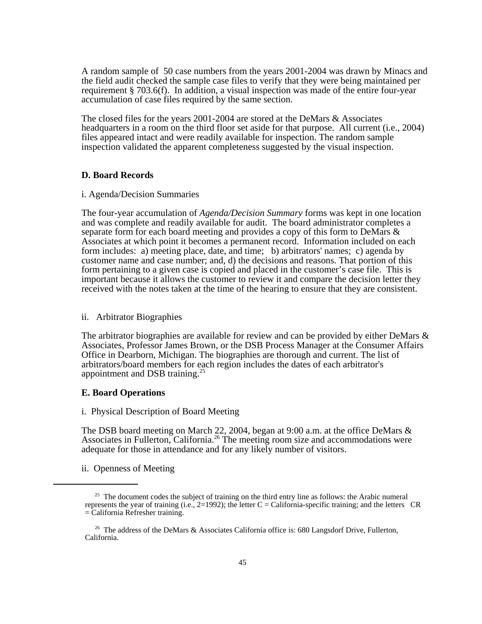A random sample of 50 case numbers from the years 2001-2004 was drawn by Minacs and the field audit checked the sample case files to verify that they were being maintained per requirement § 703.6(f). In addition, a visual inspection was made of the entire four-year accumulation of case files required by the same section.

The closed files for the years 2001-2004 are stored at the DeMars & Associates headquarters in a room on the third floor set aside for that purpose. All current (i.e., 2004) files appeared intact and were readily available for inspection. The random sample inspection validated the apparent completeness suggested by the visual inspection.

# **D. Board Records**

# i. Agenda/Decision Summaries

The four-year accumulation of *Agenda/Decision Summary* forms was kept in one location and was complete and readily available for audit. The board administrator completes a separate form for each board meeting and provides a copy of this form to DeMars & Associates at which point it becomes a permanent record. Information included on each form includes: a) meeting place, date, and time; b) arbitrators' names; c) agenda by customer name and case number; and, d) the decisions and reasons. That portion of this form pertaining to a given case is copied and placed in the customer's case file. This is important because it allows the customer to review it and compare the decision letter they received with the notes taken at the time of the hearing to ensure that they are consistent.

# ii. Arbitrator Biographies

The arbitrator biographies are available for review and can be provided by either DeMars & Associates, Professor James Brown, or the DSB Process Manager at the Consumer Affairs Office in Dearborn, Michigan. The biographies are thorough and current. The list of arbitrators/board members for each region includes the dates of each arbitrator's appointment and DSB training.<sup>25</sup>

# **E. Board Operations**

i. Physical Description of Board Meeting

The DSB board meeting on March 22, 2004, began at 9:00 a.m. at the office DeMars & Associates in Fullerton, California.<sup>26</sup> The meeting room size and accommodations were adequate for those in attendance and for any likely number of visitors.

ii. Openness of Meeting

 $25$  The document codes the subject of training on the third entry line as follows: the Arabic numeral represents the year of training (i.e.,  $2=1992$ ); the letter C = California-specific training; and the letters CR = California Refresher training.

<sup>&</sup>lt;sup>26</sup> The address of the DeMars  $\&$  Associates California office is: 680 Langsdorf Drive, Fullerton, California.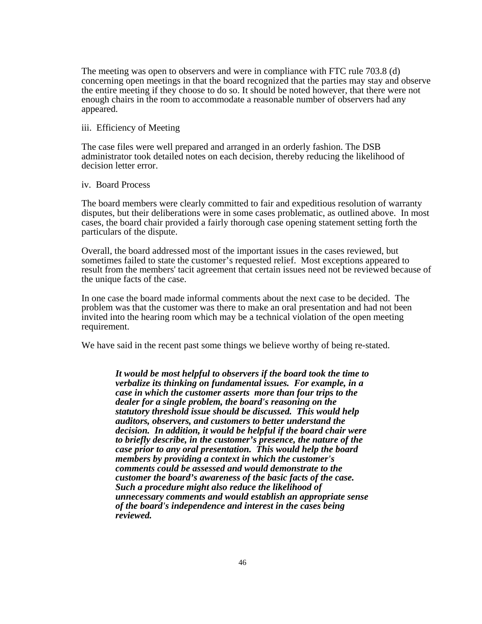The meeting was open to observers and were in compliance with FTC rule 703.8 (d) concerning open meetings in that the board recognized that the parties may stay and observe the entire meeting if they choose to do so. It should be noted however, that there were not enough chairs in the room to accommodate a reasonable number of observers had any appeared.

# iii. Efficiency of Meeting

The case files were well prepared and arranged in an orderly fashion. The DSB administrator took detailed notes on each decision, thereby reducing the likelihood of decision letter error.

#### iv. Board Process

The board members were clearly committed to fair and expeditious resolution of warranty disputes, but their deliberations were in some cases problematic, as outlined above. In most cases, the board chair provided a fairly thorough case opening statement setting forth the particulars of the dispute.

Overall, the board addressed most of the important issues in the cases reviewed, but sometimes failed to state the customer's requested relief. Most exceptions appeared to result from the members' tacit agreement that certain issues need not be reviewed because of the unique facts of the case.

In one case the board made informal comments about the next case to be decided. The problem was that the customer was there to make an oral presentation and had not been invited into the hearing room which may be a technical violation of the open meeting requirement.

We have said in the recent past some things we believe worthy of being re-stated.

*It would be most helpful to observers if the board took the time to verbalize its thinking on fundamental issues. For example, in a case in which the customer asserts more than four trips to the dealer for a single problem, the board's reasoning on the statutory threshold issue should be discussed. This would help auditors, observers, and customers to better understand the decision. In addition, it would be helpful if the board chair were to briefly describe, in the customer's presence, the nature of the case prior to any oral presentation. This would help the board members by providing a context in which the customer's comments could be assessed and would demonstrate to the customer the board's awareness of the basic facts of the case. Such a procedure might also reduce the likelihood of unnecessary comments and would establish an appropriate sense of the board's independence and interest in the cases being reviewed.*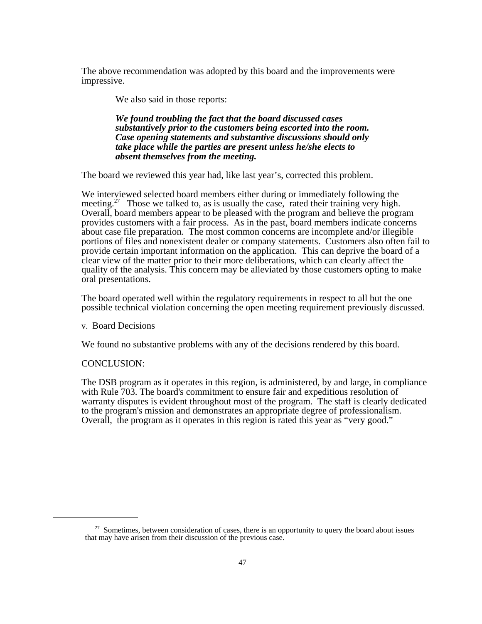The above recommendation was adopted by this board and the improvements were impressive.

We also said in those reports:

*We found troubling the fact that the board discussed cases substantively prior to the customers being escorted into the room. Case opening statements and substantive discussions should only take place while the parties are present unless he/she elects to absent themselves from the meeting.*

The board we reviewed this year had, like last year's, corrected this problem.

We interviewed selected board members either during or immediately following the meeting.<sup>27</sup> Those we talked to, as is usually the case, rated their training very high. Overall, board members appear to be pleased with the program and believe the program provides customers with a fair process. As in the past, board members indicate concerns about case file preparation. The most common concerns are incomplete and/or illegible portions of files and nonexistent dealer or company statements. Customers also often fail to provide certain important information on the application. This can deprive the board of a clear view of the matter prior to their more deliberations, which can clearly affect the quality of the analysis. This concern may be alleviated by those customers opting to make oral presentations.

The board operated well within the regulatory requirements in respect to all but the one possible technical violation concerning the open meeting requirement previously discussed.

v. Board Decisions

We found no substantive problems with any of the decisions rendered by this board.

# CONCLUSION:

The DSB program as it operates in this region, is administered, by and large, in compliance with Rule 703. The board's commitment to ensure fair and expeditious resolution of warranty disputes is evident throughout most of the program. The staff is clearly dedicated to the program's mission and demonstrates an appropriate degree of professionalism. Overall, the program as it operates in this region is rated this year as "very good."

 $27$  Sometimes, between consideration of cases, there is an opportunity to query the board about issues that may have arisen from their discussion of the previous case.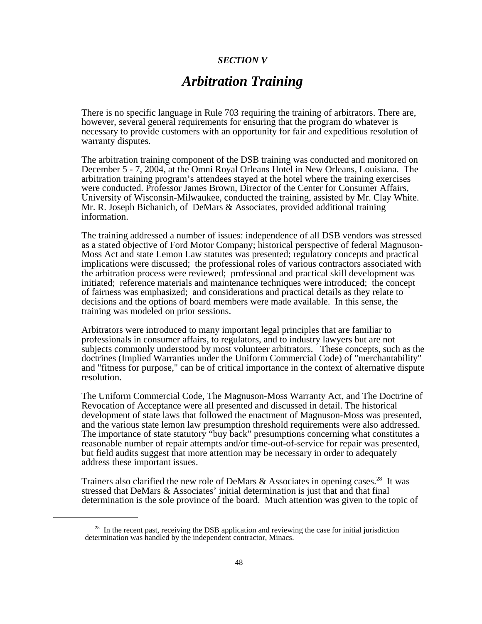# *SECTION V*

# *Arbitration Training*

There is no specific language in Rule 703 requiring the training of arbitrators. There are, however, several general requirements for ensuring that the program do whatever is necessary to provide customers with an opportunity for fair and expeditious resolution of warranty disputes.

The arbitration training component of the DSB training was conducted and monitored on December 5 - 7, 2004, at the Omni Royal Orleans Hotel in New Orleans, Louisiana. The arbitration training program's attendees stayed at the hotel where the training exercises were conducted. Professor James Brown, Director of the Center for Consumer Affairs, University of Wisconsin-Milwaukee, conducted the training, assisted by Mr. Clay White. Mr. R. Joseph Bichanich, of DeMars & Associates, provided additional training information.

The training addressed a number of issues: independence of all DSB vendors was stressed as a stated objective of Ford Motor Company; historical perspective of federal Magnuson-Moss Act and state Lemon Law statutes was presented; regulatory concepts and practical implications were discussed; the professional roles of various contractors associated with the arbitration process were reviewed; professional and practical skill development was initiated; reference materials and maintenance techniques were introduced; the concept of fairness was emphasized; and considerations and practical details as they relate to decisions and the options of board members were made available. In this sense, the training was modeled on prior sessions. Arbitrators were introduced to many important legal principles that are familiar to

professionals in consumer affairs, to regulators, and to industry lawyers but are not subjects commonly understood by most volunteer arbitrators. These concepts, such as the doctrines (Implied Warranties under the Uniform Commercial Code) of "merchantability" and "fitness for purpose," can be of critical importance in the context of alternative dispute resolution.

The Uniform Commercial Code, The Magnuson-Moss Warranty Act, and The Doctrine of Revocation of Acceptance were all presented and discussed in detail. The historical development of state laws that followed the enactment of Magnuson-Moss was presented, and the various state lemon law presumption threshold requirements were also addressed. The importance of state statutory "buy back" presumptions concerning what constitutes a reasonable number of repair attempts and/or time-out-of-service for repair was presented, but field audits suggest that more attention may be necessary in order to adequately address these important issues.

Trainers also clarified the new role of DeMars & Associates in opening cases.<sup>28</sup> It was stressed that DeMars & Associates' initial determination is just that and that final determination is the sole province of the board. Much attention was given to the topic of

<sup>&</sup>lt;sup>28</sup> In the recent past, receiving the DSB application and reviewing the case for initial jurisdiction determination was handled by the independent contractor, Minacs.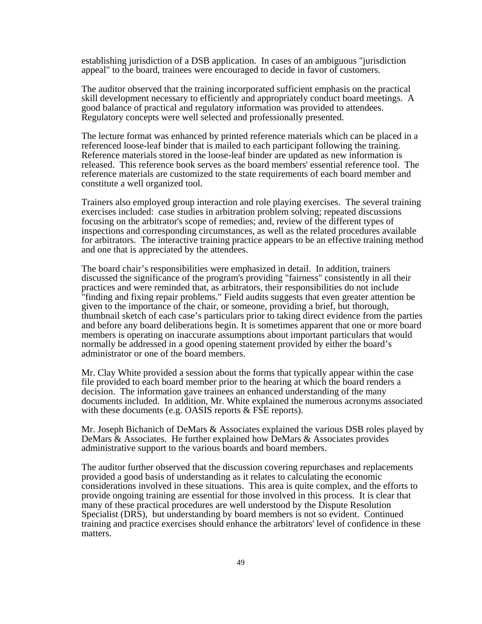establishing jurisdiction of a DSB application. In cases of an ambiguous "jurisdiction appeal" to the board, trainees were encouraged to decide in favor of customers. The auditor observed that the training incorporated sufficient emphasis on the practical

skill development necessary to efficiently and appropriately conduct board meetings. A good balance of practical and regulatory information was provided to attendees. Regulatory concepts were well selected and professionally presented.

The lecture format was enhanced by printed reference materials which can be placed in a referenced loose-leaf binder that is mailed to each participant following the training. Reference materials stored in the loose-leaf binder are updated as new information is released. This reference book serves as the board members' essential reference tool. The reference materials are customized to the state requirements of each board member and constitute a well organized tool.

Trainers also employed group interaction and role playing exercises. The several training exercises included: case studies in arbitration problem solving; repeated discussions focusing on the arbitrator's scope of remedies; and, review of the different types of inspections and corresponding circumstances, as well as the related procedures available for arbitrators. The interactive training practice appears to be an effective training method and one that is appreciated by the attendees.

The board chair's responsibilities were emphasized in detail. In addition, trainers discussed the significance of the program's providing "fairness" consistently in all their practices and were reminded that, as arbitrators, their responsibilities do not include "finding and fixing repair problems." Field audits suggests that even greater attention be given to the importance of the chair, or someone, providing a brief, but thorough, thumbnail sketch of each case's particulars prior to taking direct evidence from the parties and before any board deliberations begin. It is sometimes apparent that one or more board members is operating on inaccurate assumptions about important particulars that would normally be addressed in a good opening statement provided by either the board's administrator or one of the board members.

Mr. Clay White provided a session about the forms that typically appear within the case file provided to each board member prior to the hearing at which the board renders a decision. The information gave trainees an enhanced understanding of the many documents included. In addition, Mr. White explained the numerous acronyms associated with these documents (e.g. OASIS reports & FSE reports).

Mr. Joseph Bichanich of DeMars & Associates explained the various DSB roles played by DeMars & Associates. He further explained how DeMars & Associates provides administrative support to the various boards and board members.

The auditor further observed that the discussion covering repurchases and replacements provided a good basis of understanding as it relates to calculating the economic considerations involved in these situations. This area is quite complex, and the efforts to provide ongoing training are essential for those involved in this process. It is clear that many of these practical procedures are well understood by the Dispute Resolution Specialist (DRS), but understanding by board members is not so evident. Continued training and practice exercises should enhance the arbitrators' level of confidence in these matters.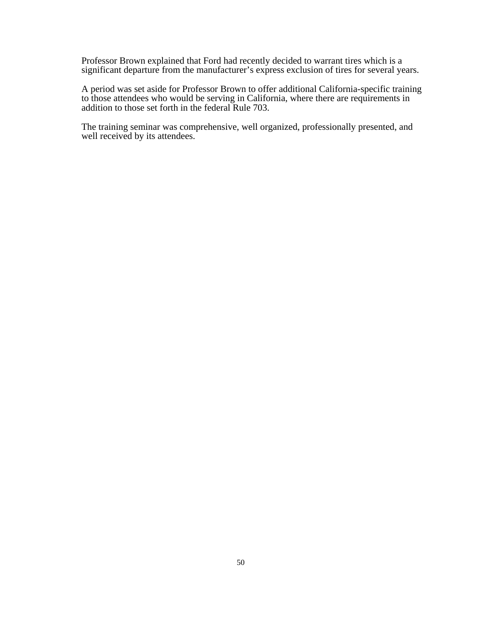Professor Brown explained that Ford had recently decided to warrant tires which is a significant departure from the manufacturer's express exclusion of tires for several years.

A period was set aside for Professor Brown to offer additional California-specific training to those attendees who would be serving in California, where there are requirements in addition to those set forth in the federal Rule 703.

The training seminar was comprehensive, well organized, professionally presented, and well received by its attendees.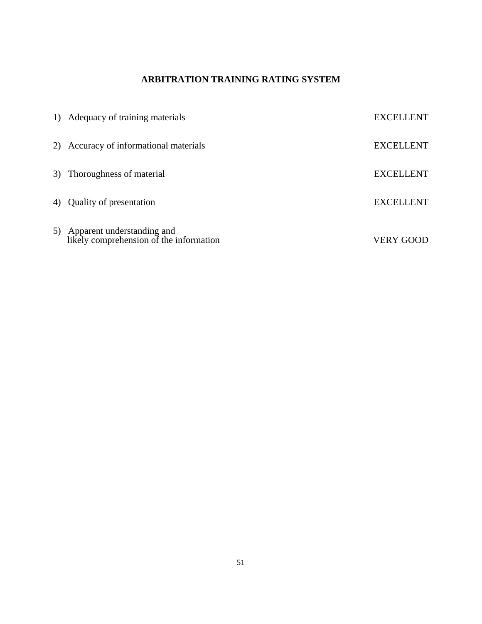# **ARBITRATION TRAINING RATING SYSTEM**

| 1) Adequacy of training materials                                        | <b>EXCELLENT</b> |
|--------------------------------------------------------------------------|------------------|
| 2) Accuracy of informational materials                                   | <b>EXCELLENT</b> |
| 3) Thoroughness of material                                              | <b>EXCELLENT</b> |
| 4) Quality of presentation                                               | <b>EXCELLENT</b> |
| 5) Apparent understanding and<br>likely comprehension of the information | <b>VERY GOOD</b> |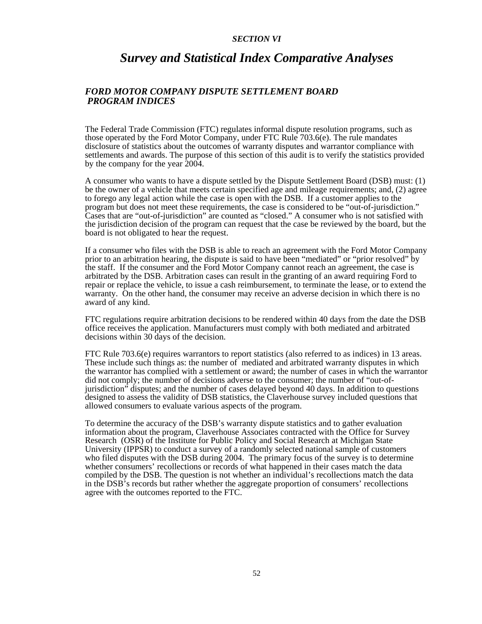#### *SECTION VI*

# *Survey and Statistical Index Comparative Analyses*

# *FORD MOTOR COMPANY DISPUTE SETTLEMENT BOARD PROGRAM INDICES*

The Federal Trade Commission (FTC) regulates informal dispute resolution programs, such as those operated by the Ford Motor Company, under FTC Rule 703.6(e). The rule mandates disclosure of statistics about the outcomes of warranty disputes and warrantor compliance with settlements and awards. The purpose of this section of this audit is to verify the statistics provided by the company for the year 2004.

A consumer who wants to have a dispute settled by the Dispute Settlement Board (DSB) must: (1) be the owner of a vehicle that meets certain specified age and mileage requirements; and, (2) agree to forego any legal action while the case is open with the DSB. If a customer applies to the program but does not meet these requirements, the case is considered to be "out-of-jurisdiction." Cases that are "out-of-jurisdiction" are counted as "closed." A consumer who is not satisfied with the jurisdiction decision of the program can request that the case be reviewed by the board, but the board is not obligated to hear the request.

If a consumer who files with the DSB is able to reach an agreement with the Ford Motor Company prior to an arbitration hearing, the dispute is said to have been "mediated" or "prior resolved" by the staff. If the consumer and the Ford Motor Company cannot reach an agreement, the case is arbitrated by the DSB. Arbitration cases can result in the granting of an award requiring Ford to repair or replace the vehicle, to issue a cash reimbursement, to terminate the lease, or to extend the warranty. On the other hand, the consumer may receive an adverse decision in which there is no award of any kind.

FTC regulations require arbitration decisions to be rendered within 40 days from the date the DSB office receives the application. Manufacturers must comply with both mediated and arbitrated decisions within 30 days of the decision.

FTC Rule 703.6(e) requires warrantors to report statistics (also referred to as indices) in 13 areas. These include such things as: the number of mediated and arbitrated warranty disputes in which the warrantor has complied with a settlement or award; the number of cases in which the warrantor did not comply; the number of decisions adverse to the consumer; the number of "out-ofjurisdiction" disputes; and the number of cases delayed beyond 40 days. In addition to questions designed to assess the validity of DSB statistics, the Claverhouse survey included questions that allowed consumers to evaluate various aspects of the program.

To determine the accuracy of the DSB's warranty dispute statistics and to gather evaluation information about the program, Claverhouse Associates contracted with the Office for Survey Research (OSR) of the Institute for Public Policy and Social Research at Michigan State University (IPPSR) to conduct a survey of a randomly selected national sample of customers who filed disputes with the DSB during 2004. The primary focus of the survey is to determine whether consumers' recollections or records of what happened in their cases match the data compiled by the DSB. The question is not whether an individual's recollections match the data in the DSB's records but rather whether the aggregate proportion of consumers' recollections agree with the outcomes reported to the FTC.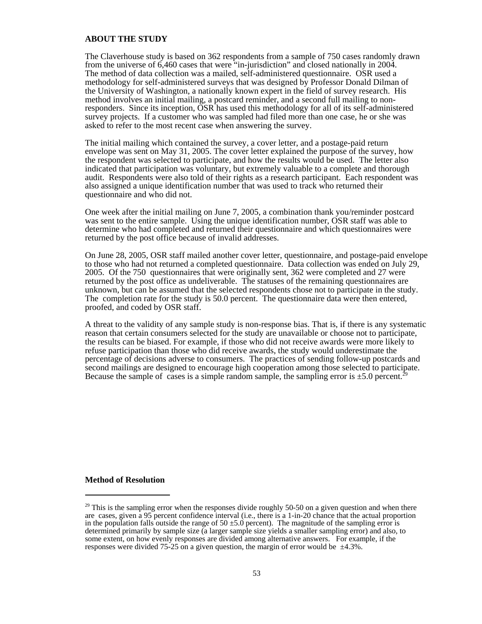#### **ABOUT THE STUDY**

The Claverhouse study is based on 362 respondents from a sample of 750 cases randomly drawn from the universe of 6,460 cases that were "in-jurisdiction" and closed nationally in 2004. The method of data collection was a mailed, self-administered questionnaire. OSR used a methodology for self-administered surveys that was designed by Professor Donald Dilman of the University of Washington, a nationally known expert in the field of survey research. His method involves an initial mailing, a postcard reminder, and a second full mailing to nonresponders. Since its inception, OSR has used this methodology for all of its self-administered survey projects. If a customer who was sampled had filed more than one case, he or she was asked to refer to the most recent case when answering the survey.

The initial mailing which contained the survey, a cover letter, and a postage-paid return envelope was sent on May 31, 2005. The cover letter explained the purpose of the survey, how the respondent was selected to participate, and how the results would be used. The letter also indicated that participation was voluntary, but extremely valuable to a complete and thorough audit. Respondents were also told of their rights as a research participant. Each respondent was also assigned a unique identification number that was used to track who returned their questionnaire and who did not.

One week after the initial mailing on June 7, 2005, a combination thank you/reminder postcard was sent to the entire sample. Using the unique identification number, OSR staff was able to determine who had completed and returned their questionnaire and which questionnaires were returned by the post office because of invalid addresses.

On June 28, 2005, OSR staff mailed another cover letter, questionnaire, and postage-paid envelope to those who had not returned a completed questionnaire. Data collection was ended on July 29, 2005. Of the 750 questionnaires that were originally sent, 362 were completed and 27 were returned by the post office as undeliverable. The statuses of the remaining questionnaires are unknown, but can be assumed that the selected respondents chose not to participate in the study. The completion rate for the study is 50.0 percent. The questionnaire data were then entered, proofed, and coded by OSR staff.

A threat to the validity of any sample study is non-response bias. That is, if there is any systematic reason that certain consumers selected for the study are unavailable or choose not to participate, the results can be biased. For example, if those who did not receive awards were more likely to refuse participation than those who did receive awards, the study would underestimate the percentage of decisions adverse to consumers. The practices of sending follow-up postcards and second mailings are designed to encourage high cooperation among those selected to participate. Because the sample of cases is a simple random sample, the sampling error is  $\pm 5.0$  percent.<sup>2</sup>

# **Method of Resolution**

 $29$  This is the sampling error when the responses divide roughly 50-50 on a given question and when there are cases, given a 95 percent confidence interval (i.e., there is a 1-in-20 chance that the actual proportion in the population falls outside the range of  $50 \pm 5.0$  percent). The magnitude of the sampling error is determined primarily by sample size (a larger sample size yields a smaller sampling error) and also, to some extent, on how evenly responses are divided among alternative answers. For example, if the responses were divided 75-25 on a given question, the margin of error would be  $\pm 4.3\%$ .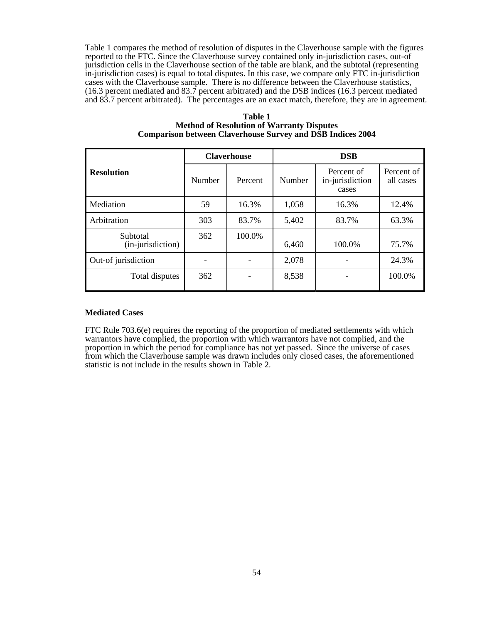Table 1 compares the method of resolution of disputes in the Claverhouse sample with the figures reported to the FTC. Since the Claverhouse survey contained only in-jurisdiction cases, out-of jurisdiction cells in the Claverhouse section of the table are blank, and the subtotal (representing in-jurisdiction cases) is equal to total disputes. In this case, we compare only FTC in-jurisdiction cases with the Claverhouse sample. There is no difference between the Claverhouse statistics, (16.3 percent mediated and 83.7 percent arbitrated) and the DSB indices (16.3 percent mediated and 83.7 percent arbitrated). The percentages are an exact match, therefore, they are in agreement.

|                               | <b>Claverhouse</b>       |         | <b>DSB</b> |                                        |                         |
|-------------------------------|--------------------------|---------|------------|----------------------------------------|-------------------------|
| <b>Resolution</b>             | Number                   | Percent | Number     | Percent of<br>in-jurisdiction<br>cases | Percent of<br>all cases |
| Mediation                     | 59                       | 16.3%   | 1,058      | 16.3%                                  | 12.4%                   |
| Arbitration                   | 303                      | 83.7%   | 5,402      | 83.7%                                  | 63.3%                   |
| Subtotal<br>(in-jurisdiction) | 362                      | 100.0%  | 6,460      | 100.0%                                 | 75.7%                   |
| Out-of jurisdiction           | $\overline{\phantom{a}}$ |         | 2,078      |                                        | 24.3%                   |
| Total disputes                | 362                      |         | 8,538      |                                        | 100.0%                  |

**Table 1 Method of Resolution of Warranty Disputes Comparison between Claverhouse Survey and DSB Indices 2004**

## **Mediated Cases**

FTC Rule 703.6(e) requires the reporting of the proportion of mediated settlements with which warrantors have complied, the proportion with which warrantors have not complied, and the proportion in which the period for compliance has not yet passed. Since the universe of cases from which the Claverhouse sample was drawn includes only closed cases, the aforementioned statistic is not include in the results shown in Table 2.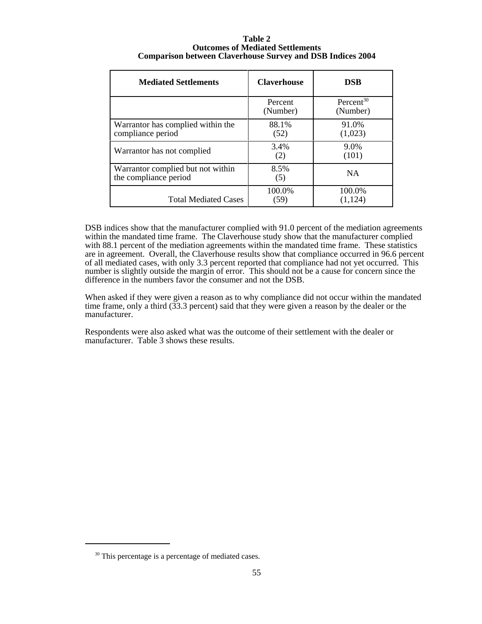| Table 2                                                           |
|-------------------------------------------------------------------|
| <b>Outcomes of Mediated Settlements</b>                           |
| <b>Comparison between Claverhouse Survey and DSB Indices 2004</b> |

| <b>Mediated Settlements</b>                                | <b>Claverhouse</b>  | <b>DSB</b>                        |
|------------------------------------------------------------|---------------------|-----------------------------------|
|                                                            | Percent<br>(Number) | Percent <sup>30</sup><br>(Number) |
| Warrantor has complied within the<br>compliance period     | 88.1%<br>(52)       | 91.0%<br>(1,023)                  |
| Warrantor has not complied                                 | 3.4%<br>(2)         | 9.0%<br>(101)                     |
| Warrantor complied but not within<br>the compliance period | 8.5%<br>(5)         | <b>NA</b>                         |
| <b>Total Mediated Cases</b>                                | 100.0%<br>(59)      | 100.0%<br>(1, 124)                |

DSB indices show that the manufacturer complied with 91.0 percent of the mediation agreements within the mandated time frame. The Claverhouse study show that the manufacturer complied with 88.1 percent of the mediation agreements within the mandated time frame. These statistics are in agreement. Overall, the Claverhouse results show that compliance occurred in 96.6 percent of all mediated cases, with only 3.3 percent reported that compliance had not yet occurred. This number is slightly outside the margin of error. This should not be a cause for concern since the difference in the numbers favor the consumer and not the DSB.

When asked if they were given a reason as to why compliance did not occur within the mandated time frame, only a third (33.3 percent) said that they were given a reason by the dealer or the manufacturer.

Respondents were also asked what was the outcome of their settlement with the dealer or manufacturer. Table 3 shows these results.

<sup>&</sup>lt;sup>30</sup> This percentage is a percentage of mediated cases.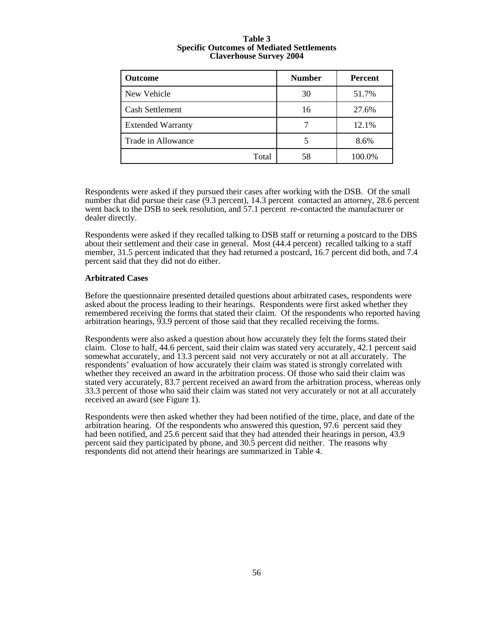| <b>Outcome</b>           | <b>Number</b> | Percent |
|--------------------------|---------------|---------|
| New Vehicle              | 30            | 51.7%   |
| <b>Cash Settlement</b>   | 16            | 27.6%   |
| <b>Extended Warranty</b> |               | 12.1%   |
| Trade in Allowance       |               | 8.6%    |
| Total                    | 58            | 100.0%  |

#### **Table 3 Specific Outcomes of Mediated Settlements Claverhouse Survey 2004**

Respondents were asked if they pursued their cases after working with the DSB. Of the small number that did pursue their case (9.3 percent), 14.3 percent contacted an attorney, 28.6 percent went back to the DSB to seek resolution, and 57.1 percent re-contacted the manufacturer or dealer directly.

Respondents were asked if they recalled talking to DSB staff or returning a postcard to the DBS about their settlement and their case in general. Most (44.4 percent) recalled talking to a staff member, 31.5 percent indicated that they had returned a postcard, 16.7 percent did both, and 7.4 percent said that they did not do either.

# **Arbitrated Cases**

Before the questionnaire presented detailed questions about arbitrated cases, respondents were asked about the process leading to their hearings. Respondents were first asked whether they remembered receiving the forms that stated their claim. Of the respondents who reported having arbitration hearings, 93.9 percent of those said that they recalled receiving the forms.

Respondents were also asked a question about how accurately they felt the forms stated their claim. Close to half, 44.6 percent, said their claim was stated very accurately, 42.1 percent said somewhat accurately, and 13.3 percent said not very accurately or not at all accurately. The respondents' evaluation of how accurately their claim was stated is strongly correlated with whether they received an award in the arbitration process. Of those who said their claim was stated very accurately, 83.7 percent received an award from the arbitration process, whereas only 33.3 percent of those who said their claim was stated not very accurately or not at all accurately received an award (see Figure 1).

Respondents were then asked whether they had been notified of the time, place, and date of the arbitration hearing. Of the respondents who answered this question, 97.6 percent said they had been notified, and 25.6 percent said that they had attended their hearings in person, 43.9 percent said they participated by phone, and 30.5 percent did neither. The reasons why respondents did not attend their hearings are summarized in Table 4.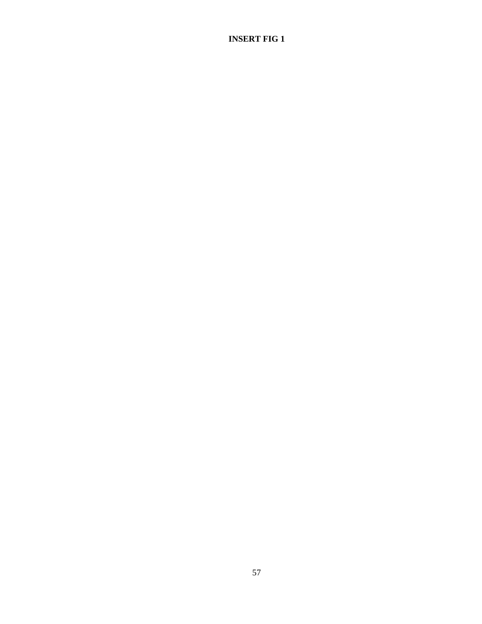# **INSERT FIG 1**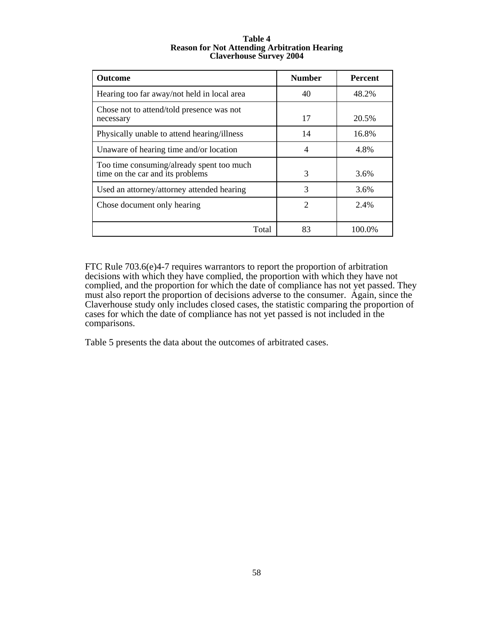#### **Table 4 Reason for Not Attending Arbitration Hearing Claverhouse Survey 2004**

| <b>Outcome</b>                                                                | <b>Number</b>  | <b>Percent</b> |
|-------------------------------------------------------------------------------|----------------|----------------|
| Hearing too far away/not held in local area                                   | 40             | 48.2%          |
| Chose not to attend/told presence was not<br>necessary                        | 17             | 20.5%          |
| Physically unable to attend hearing/illness                                   | 14             | 16.8%          |
| Unaware of hearing time and/or location                                       | 4              | 4.8%           |
| Too time consuming/already spent too much<br>time on the car and its problems | 3              | 3.6%           |
| Used an attorney/attorney attended hearing                                    | 3              | 3.6%           |
| Chose document only hearing                                                   | $\mathfrak{D}$ | 2.4%           |
| Total                                                                         | 83             | 100.0%         |

FTC Rule 703.6(e)4-7 requires warrantors to report the proportion of arbitration decisions with which they have complied, the proportion with which they have not complied, and the proportion for which the date of compliance has not yet passed. They must also report the proportion of decisions adverse to the consumer. Again, since the Claverhouse study only includes closed cases, the statistic comparing the proportion of cases for which the date of compliance has not yet passed is not included in the comparisons.

Table 5 presents the data about the outcomes of arbitrated cases.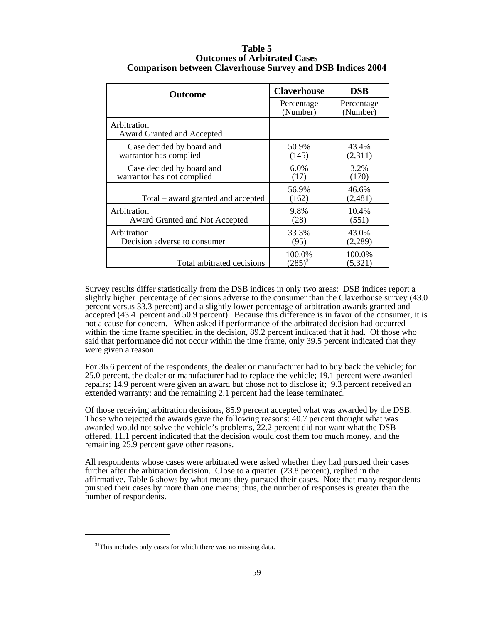| <b>Outcome</b>                                          | <b>Claverhouse</b>     | <b>DSB</b>             |
|---------------------------------------------------------|------------------------|------------------------|
|                                                         | Percentage<br>(Number) | Percentage<br>(Number) |
| Arbitration<br>Award Granted and Accepted               |                        |                        |
| Case decided by board and<br>warrantor has complied     | 50.9%<br>(145)         | 43.4%<br>(2,311)       |
| Case decided by board and<br>warrantor has not complied | 6.0%<br>(17)           | 3.2%<br>(170)          |
| Total – award granted and accepted                      | 56.9%<br>(162)         | 46.6%<br>(2,481)       |
| Arbitration<br>Award Granted and Not Accepted           | 9.8%<br>(28)           | 10.4%<br>(551)         |
| Arbitration<br>Decision adverse to consumer             | 33.3%<br>(95)          | 43.0%<br>(2,289)       |
| Total arbitrated decisions                              | 100.0%<br>$(285)^{31}$ | 100.0%<br>(5,321)      |

# **Table 5 Outcomes of Arbitrated Cases Comparison between Claverhouse Survey and DSB Indices 2004**

Survey results differ statistically from the DSB indices in only two areas: DSB indices report a slightly higher percentage of decisions adverse to the consumer than the Claverhouse survey (43.0 percent versus 33.3 percent) and a slightly lower percentage of arbitration awards granted and accepted (43.4 percent and 50.9 percent). Because this difference is in favor of the consumer, it is not a cause for concern. When asked if performance of the arbitrated decision had occurred within the time frame specified in the decision, 89.2 percent indicated that it had. Of those who said that performance did not occur within the time frame, only 39.5 percent indicated that they were given a reason.

For 36.6 percent of the respondents, the dealer or manufacturer had to buy back the vehicle; for 25.0 percent, the dealer or manufacturer had to replace the vehicle; 19.1 percent were awarded repairs; 14.9 percent were given an award but chose not to disclose it; 9.3 percent received an extended warranty; and the remaining 2.1 percent had the lease terminated.

Of those receiving arbitration decisions, 85.9 percent accepted what was awarded by the DSB. Those who rejected the awards gave the following reasons: 40.7 percent thought what was awarded would not solve the vehicle's problems, 22.2 percent did not want what the DSB offered, 11.1 percent indicated that the decision would cost them too much money, and the remaining 25.9 percent gave other reasons.

All respondents whose cases were arbitrated were asked whether they had pursued their cases further after the arbitration decision. Close to a quarter (23.8 percent), replied in the affirmative. Table 6 shows by what means they pursued their cases. Note that many respondents pursued their cases by more than one means; thus, the number of responses is greater than the number of respondents.

<sup>&</sup>lt;sup>31</sup>This includes only cases for which there was no missing data.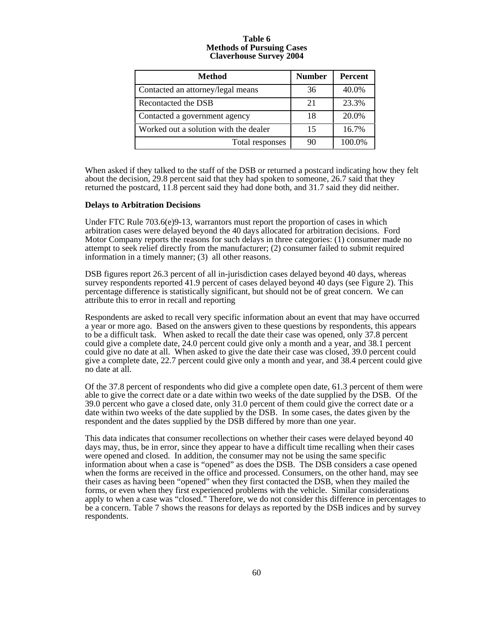#### **Table 6 Methods of Pursuing Cases Claverhouse Survey 2004**

| <b>Method</b>                         | <b>Number</b> | <b>Percent</b> |
|---------------------------------------|---------------|----------------|
| Contacted an attorney/legal means     | 36            | 40.0%          |
| Recontacted the DSB                   | 21            | 23.3%          |
| Contacted a government agency         | 18            | 20.0%          |
| Worked out a solution with the dealer | 15            | 16.7%          |
| Total responses                       | 90            | 100.0%         |

When asked if they talked to the staff of the DSB or returned a postcard indicating how they felt about the decision, 29.8 percent said that they had spoken to someone, 26.7 said that they returned the postcard, 11.8 percent said they had done both, and 31.7 said they did neither.

#### **Delays to Arbitration Decisions**

Under FTC Rule 703.6(e)9-13, warrantors must report the proportion of cases in which arbitration cases were delayed beyond the 40 days allocated for arbitration decisions. Ford Motor Company reports the reasons for such delays in three categories: (1) consumer made no attempt to seek relief directly from the manufacturer; (2) consumer failed to submit required information in a timely manner; (3) all other reasons.

DSB figures report 26.3 percent of all in-jurisdiction cases delayed beyond 40 days, whereas survey respondents reported 41.9 percent of cases delayed beyond 40 days (see Figure 2). This percentage difference is statistically significant, but should not be of great concern. We can attribute this to error in recall and reporting

Respondents are asked to recall very specific information about an event that may have occurred a year or more ago. Based on the answers given to these questions by respondents, this appears to be a difficult task. When asked to recall the date their case was opened, only 37.8 percent could give a complete date, 24.0 percent could give only a month and a year, and 38.1 percent could give no date at all. When asked to give the date their case was closed, 39.0 percent could give a complete date, 22.7 percent could give only a month and year, and 38.4 percent could give no date at all.

Of the 37.8 percent of respondents who did give a complete open date, 61.3 percent of them were able to give the correct date or a date within two weeks of the date supplied by the DSB. Of the 39.0 percent who gave a closed date, only 31.0 percent of them could give the correct date or a date within two weeks of the date supplied by the DSB. In some cases, the dates given by the respondent and the dates supplied by the DSB differed by more than one year.

This data indicates that consumer recollections on whether their cases were delayed beyond 40 days may, thus, be in error, since they appear to have a difficult time recalling when their cases were opened and closed. In addition, the consumer may not be using the same specific information about when a case is "opened" as does the DSB. The DSB considers a case opened when the forms are received in the office and processed. Consumers, on the other hand, may see their cases as having been "opened" when they first contacted the DSB, when they mailed the forms, or even when they first experienced problems with the vehicle. Similar considerations apply to when a case was "closed." Therefore, we do not consider this difference in percentages to be a concern. Table 7 shows the reasons for delays as reported by the DSB indices and by survey respondents.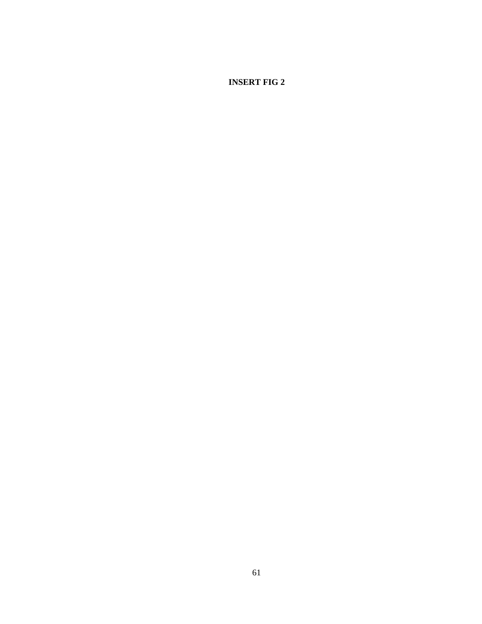**INSERT FIG 2**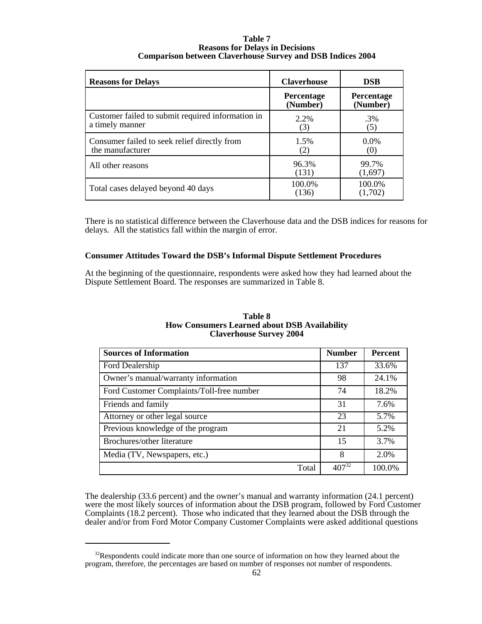#### **Table 7 Reasons for Delays in Decisions Comparison between Claverhouse Survey and DSB Indices 2004**

| <b>Reasons for Delays</b>                                            | <b>Claverhouse</b>     | <b>DSB</b>             |
|----------------------------------------------------------------------|------------------------|------------------------|
|                                                                      | Percentage<br>(Number) | Percentage<br>(Number) |
| Customer failed to submit required information in<br>a timely manner | 2.2%<br>(3)            | .3%<br>(5)             |
| Consumer failed to seek relief directly from<br>the manufacturer     | 1.5%<br>(2)            | $0.0\%$<br>(0)         |
| All other reasons                                                    | 96.3%<br>(131)         | 99.7%<br>(1,697)       |
| Total cases delayed beyond 40 days                                   | 100.0%<br>(136)        | 100.0%<br>(1,702)      |

There is no statistical difference between the Claverhouse data and the DSB indices for reasons for delays. All the statistics fall within the margin of error.

# **Consumer Attitudes Toward the DSB's Informal Dispute Settlement Procedures**

At the beginning of the questionnaire, respondents were asked how they had learned about the Dispute Settlement Board. The responses are summarized in Table 8.

| Table 8                                             |
|-----------------------------------------------------|
| <b>How Consumers Learned about DSB Availability</b> |
| <b>Claverhouse Survey 2004</b>                      |

| <b>Sources of Information</b>             | <b>Number</b> | <b>Percent</b> |
|-------------------------------------------|---------------|----------------|
| Ford Dealership                           | 137           | 33.6%          |
| Owner's manual/warranty information       | 98            | 24.1%          |
| Ford Customer Complaints/Toll-free number | 74            | 18.2%          |
| Friends and family                        | 31            | 7.6%           |
| Attorney or other legal source            | 23            | 5.7%           |
| Previous knowledge of the program         | 21            | 5.2%           |
| Brochures/other literature                | 15            | 3.7%           |
| Media (TV, Newspapers, etc.)              | 8             | 2.0%           |
| Total                                     | $407^{32}$    | 100.0%         |

The dealership (33.6 percent) and the owner's manual and warranty information (24.1 percent) were the most likely sources of information about the DSB program, followed by Ford Customer Complaints (18.2 percent). Those who indicated that they learned about the DSB through the dealer and/or from Ford Motor Company Customer Complaints were asked additional questions

 $32$ Respondents could indicate more than one source of information on how they learned about the program, therefore, the percentages are based on number of responses not number of respondents.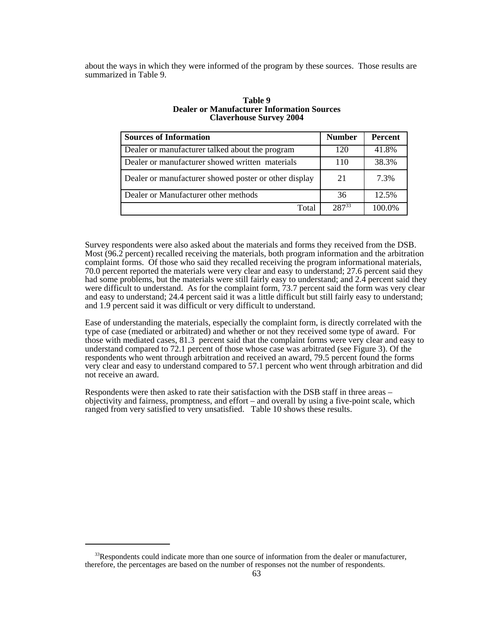about the ways in which they were informed of the program by these sources. Those results are summarized in Table 9.

| <b>Sources of Information</b>                         | <b>Number</b> | Percent |
|-------------------------------------------------------|---------------|---------|
| Dealer or manufacturer talked about the program       | 120           | 41.8%   |
| Dealer or manufacturer showed written materials       | 110           | 38.3%   |
| Dealer or manufacturer showed poster or other display | 21            | 7.3%    |
| Dealer or Manufacturer other methods                  | 36            | 12.5%   |
| Total                                                 | $287^{33}$    | 100.0%  |

#### **Table 9 Dealer or Manufacturer Information Sources Claverhouse Survey 2004**

Survey respondents were also asked about the materials and forms they received from the DSB. Most (96.2 percent) recalled receiving the materials, both program information and the arbitration complaint forms. Of those who said they recalled receiving the program informational materials, 70.0 percent reported the materials were very clear and easy to understand; 27.6 percent said they had some problems, but the materials were still fairly easy to understand; and 2.4 percent said they were difficult to understand. As for the complaint form, 73.7 percent said the form was very clear and easy to understand; 24.4 percent said it was a little difficult but still fairly easy to understand; and 1.9 percent said it was difficult or very difficult to understand.

Ease of understanding the materials, especially the complaint form, is directly correlated with the type of case (mediated or arbitrated) and whether or not they received some type of award. For those with mediated cases, 81.3 percent said that the complaint forms were very clear and easy to understand compared to 72.1 percent of those whose case was arbitrated (see Figure 3). Of the respondents who went through arbitration and received an award, 79.5 percent found the forms very clear and easy to understand compared to 57.1 percent who went through arbitration and did not receive an award.

Respondents were then asked to rate their satisfaction with the DSB staff in three areas – objectivity and fairness, promptness, and effort – and overall by using a five-point scale, which ranged from very satisfied to very unsatisfied. Table 10 shows these results.

 $33$ Respondents could indicate more than one source of information from the dealer or manufacturer, therefore, the percentages are based on the number of responses not the number of respondents.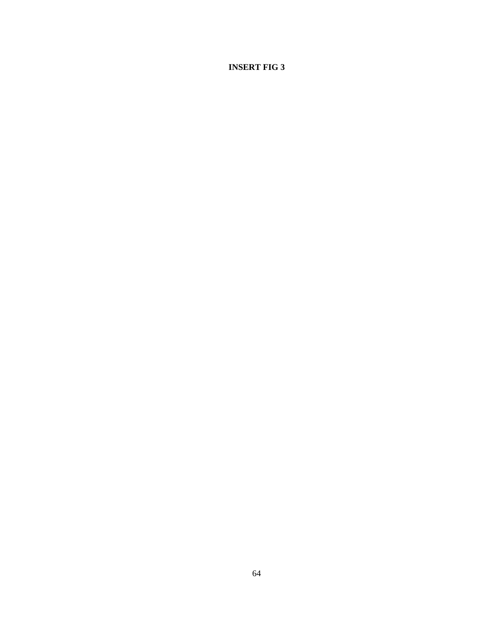**INSERT FIG 3**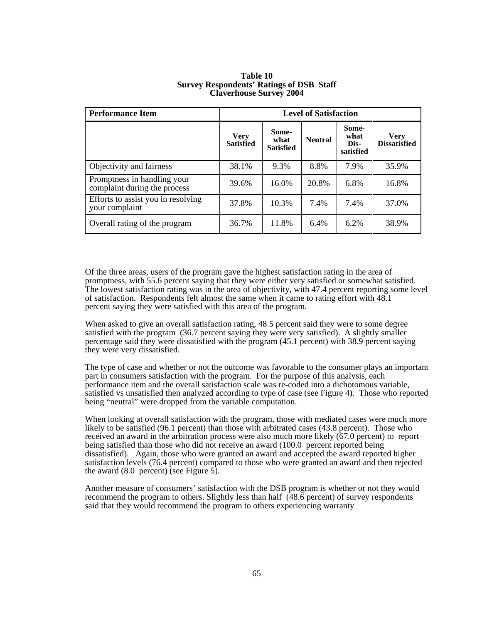| <b>Performance Item</b>                                     | <b>Level of Satisfaction</b>    |                                   |                |                                    |                                    |
|-------------------------------------------------------------|---------------------------------|-----------------------------------|----------------|------------------------------------|------------------------------------|
|                                                             | <b>Very</b><br><b>Satisfied</b> | Some-<br>what<br><b>Satisfied</b> | <b>Neutral</b> | Some-<br>what<br>Dis-<br>satisfied | <b>Very</b><br><b>Dissatisfied</b> |
| Objectivity and fairness                                    | 38.1%                           | 9.3%                              | 8.8%           | 7.9%                               | 35.9%                              |
| Promptness in handling your<br>complaint during the process | 39.6%                           | 16.0%                             | 20.8%          | 6.8%                               | 16.8%                              |
| Efforts to assist you in resolving<br>your complaint        | 37.8%                           | 10.3%                             | 7.4%           | 7.4%                               | 37.0%                              |
| Overall rating of the program                               | 36.7%                           | 11.8%                             | 6.4%           | 6.2%                               | 38.9%                              |

#### **Table 10 Survey Respondents' Ratings of DSB Staff Claverhouse Survey 2004**

Of the three areas, users of the program gave the highest satisfaction rating in the area of promptness, with 55.6 percent saying that they were either very satisfied or somewhat satisfied. The lowest satisfaction rating was in the area of objectivity, with 47.4 percent reporting some level of satisfaction. Respondents felt almost the same when it came to rating effort with 48.1 percent saying they were satisfied with this area of the program.

When asked to give an overall satisfaction rating, 48.5 percent said they were to some degree satisfied with the program (36.7 percent saying they were very satisfied). A slightly smaller percentage said they were dissatisfied with the program (45.1 percent) with 38.9 percent saying they were very dissatisfied.

The type of case and whether or not the outcome was favorable to the consumer plays an important part in consumers satisfaction with the program. For the purpose of this analysis, each performance item and the overall satisfaction scale was re-coded into a dichotomous variable, satisfied vs unsatisfied then analyzed according to type of case (see Figure 4). Those who reported being "neutral" were dropped from the variable computation.

When looking at overall satisfaction with the program, those with mediated cases were much more likely to be satisfied (96.1 percent) than those with arbitrated cases (43.8 percent). Those who received an award in the arbitration process were also much more likely (67.0 percent) to report being satisfied than those who did not receive an award (100.0 percent reported being dissatisfied). Again, those who were granted an award and accepted the award reported higher satisfaction levels (76.4 percent) compared to those who were granted an award and then rejected the award  $(8.0 \text{ percent})$  (see Figure 5).

Another measure of consumers' satisfaction with the DSB program is whether or not they would recommend the program to others. Slightly less than half (48.6 percent) of survey respondents said that they would recommend the program to others experiencing warranty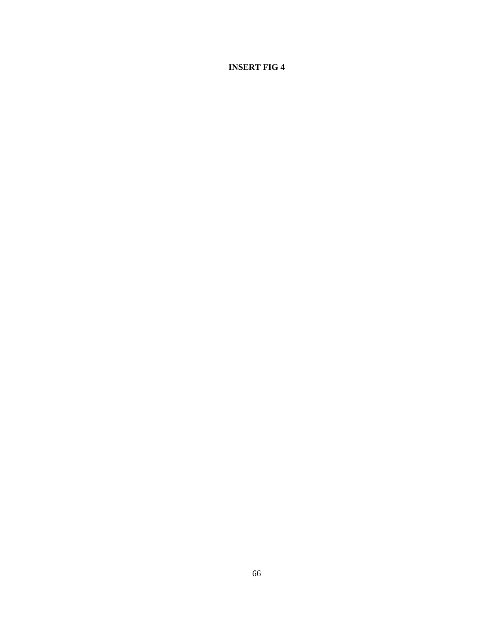**INSERT FIG 4**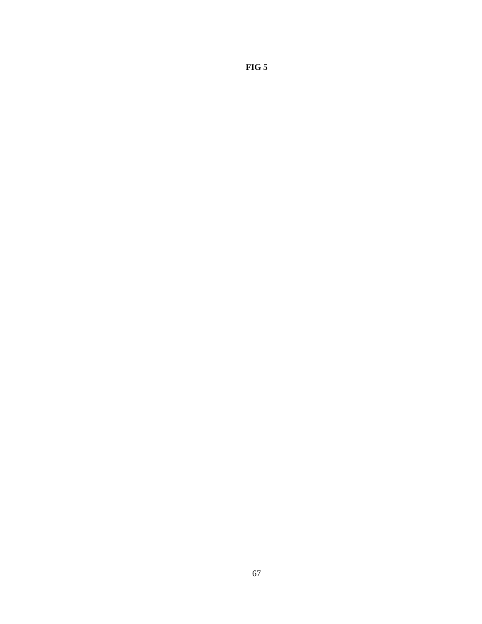**FIG 5**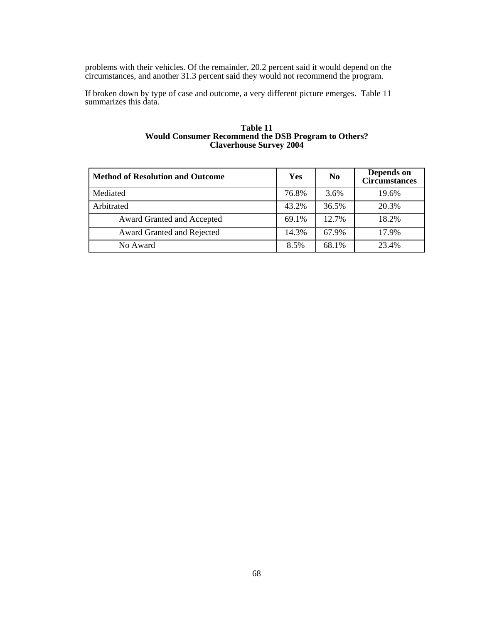problems with their vehicles. Of the remainder, 20.2 percent said it would depend on the circumstances, and another 31.3 percent said they would not recommend the program.

If broken down by type of case and outcome, a very different picture emerges. Table 11 summarizes this data.

#### **Table 11 Would Consumer Recommend the DSB Program to Others? Claverhouse Survey 2004**

| <b>Method of Resolution and Outcome</b> | Yes   | N <sub>0</sub> | Depends on<br><b>Circumstances</b> |
|-----------------------------------------|-------|----------------|------------------------------------|
| Mediated                                | 76.8% | 3.6%           | 19.6%                              |
| Arbitrated                              | 43.2% | 36.5%          | 20.3%                              |
| Award Granted and Accepted              | 69.1% | 12.7%          | 18.2%                              |
| Award Granted and Rejected              | 14.3% | 67.9%          | 17.9%                              |
| No Award                                | 8.5%  | 68.1%          | 23.4%                              |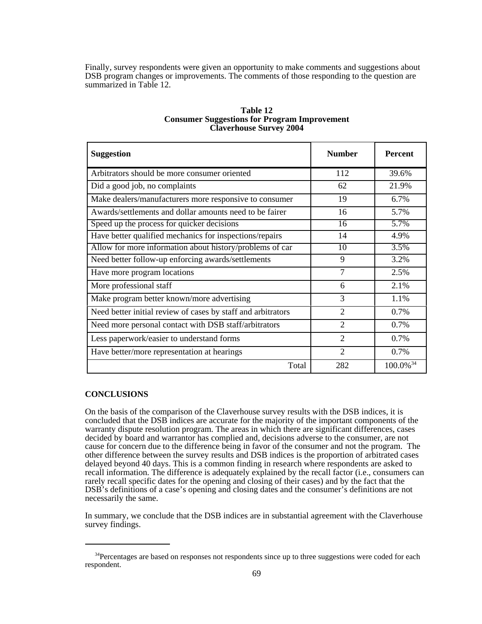Finally, survey respondents were given an opportunity to make comments and suggestions about DSB program changes or improvements. The comments of those responding to the question are summarized in Table 12.

| <b>Suggestion</b>                                            | <b>Number</b>   | <b>Percent</b>          |
|--------------------------------------------------------------|-----------------|-------------------------|
| Arbitrators should be more consumer oriented                 | 112             | 39.6%                   |
| Did a good job, no complaints                                | 62              | 21.9%                   |
| Make dealers/manufacturers more responsive to consumer       | 19              | 6.7%                    |
| Awards/settlements and dollar amounts need to be fairer      | 16              | 5.7%                    |
| Speed up the process for quicker decisions                   | $\overline{16}$ | 5.7%                    |
| Have better qualified mechanics for inspections/repairs      | 14              | 4.9%                    |
| Allow for more information about history/problems of car     | 10              | 3.5%                    |
| Need better follow-up enforcing awards/settlements           | 9               | 3.2%                    |
| Have more program locations                                  | 7               | 2.5%                    |
| More professional staff                                      | 6               | 2.1%                    |
| Make program better known/more advertising                   | 3               | 1.1%                    |
| Need better initial review of cases by staff and arbitrators | $\overline{2}$  | 0.7%                    |
| Need more personal contact with DSB staff/arbitrators        | 2               | 0.7%                    |
| Less paperwork/easier to understand forms                    | $\overline{2}$  | 0.7%                    |
| Have better/more representation at hearings                  | $\overline{2}$  | 0.7%                    |
| Total                                                        | 282             | $100.0\%$ <sup>34</sup> |

# **Table 12 Consumer Suggestions for Program Improvement Claverhouse Survey 2004**

# **CONCLUSIONS**

On the basis of the comparison of the Claverhouse survey results with the DSB indices, it is concluded that the DSB indices are accurate for the majority of the important components of the warranty dispute resolution program. The areas in which there are significant differences, cases decided by board and warrantor has complied and, decisions adverse to the consumer, are not cause for concern due to the difference being in favor of the consumer and not the program. The other difference between the survey results and DSB indices is the proportion of arbitrated cases delayed beyond 40 days. This is a common finding in research where respondents are asked to recall information. The difference is adequately explained by the recall factor (i.e., consumers can rarely recall specific dates for the opening and closing of their cases) and by the fact that the DSB's definitions of a case's opening and closing dates and the consumer's definitions are not necessarily the same.

In summary, we conclude that the DSB indices are in substantial agreement with the Claverhouse survey findings.

<sup>&</sup>lt;sup>34</sup>Percentages are based on responses not respondents since up to three suggestions were coded for each respondent.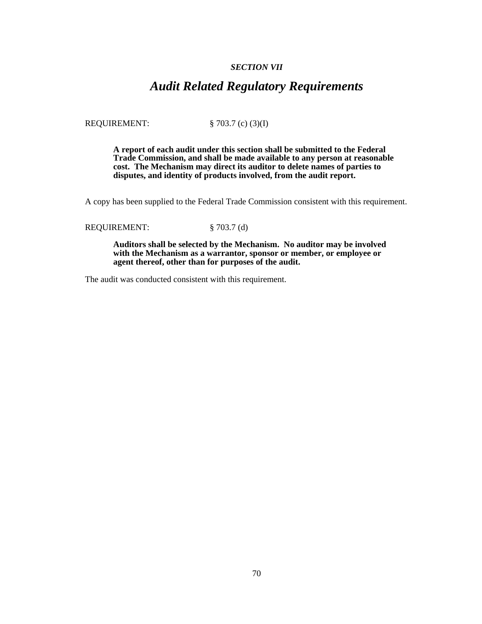# *SECTION VII*

# *Audit Related Regulatory Requirements*

REQUIREMENT: § 703.7 (c) (3)(I)

**A report of each audit under this section shall be submitted to the Federal Trade Commission, and shall be made available to any person at reasonable cost. The Mechanism may direct its auditor to delete names of parties to disputes, and identity of products involved, from the audit report.**

A copy has been supplied to the Federal Trade Commission consistent with this requirement.

REQUIREMENT: § 703.7 (d)

**Auditors shall be selected by the Mechanism. No auditor may be involved with the Mechanism as a warrantor, sponsor or member, or employee or agent thereof, other than for purposes of the audit.**

The audit was conducted consistent with this requirement.